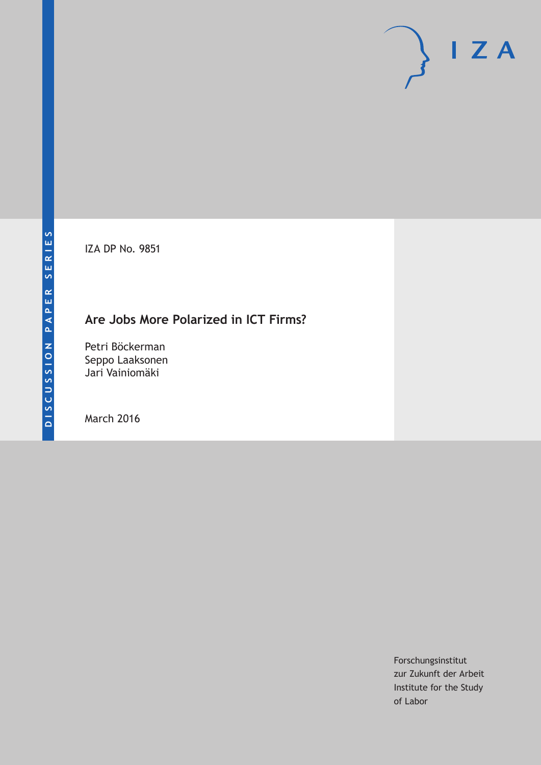IZA DP No. 9851

## **Are Jobs More Polarized in ICT Firms?**

Petri Böckerman Seppo Laaksonen Jari Vainiomäki

March 2016

Forschungsinstitut zur Zukunft der Arbeit Institute for the Study of Labor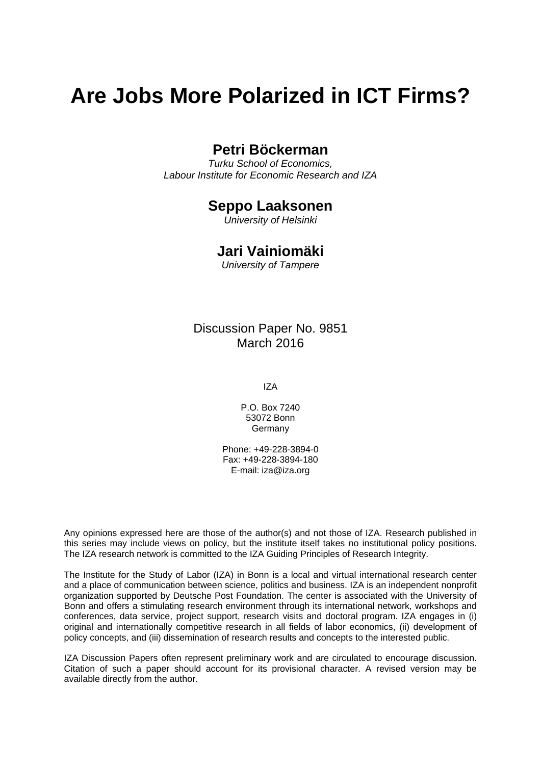# **Are Jobs More Polarized in ICT Firms?**

## **Petri Böckerman**

*Turku School of Economics, Labour Institute for Economic Research and IZA* 

### **Seppo Laaksonen**

*University of Helsinki* 

## **Jari Vainiomäki**

*University of Tampere*

## Discussion Paper No. 9851 March 2016

IZA

P.O. Box 7240 53072 Bonn Germany

Phone: +49-228-3894-0 Fax: +49-228-3894-180 E-mail: iza@iza.org

Any opinions expressed here are those of the author(s) and not those of IZA. Research published in this series may include views on policy, but the institute itself takes no institutional policy positions. The IZA research network is committed to the IZA Guiding Principles of Research Integrity.

The Institute for the Study of Labor (IZA) in Bonn is a local and virtual international research center and a place of communication between science, politics and business. IZA is an independent nonprofit organization supported by Deutsche Post Foundation. The center is associated with the University of Bonn and offers a stimulating research environment through its international network, workshops and conferences, data service, project support, research visits and doctoral program. IZA engages in (i) original and internationally competitive research in all fields of labor economics, (ii) development of policy concepts, and (iii) dissemination of research results and concepts to the interested public.

IZA Discussion Papers often represent preliminary work and are circulated to encourage discussion. Citation of such a paper should account for its provisional character. A revised version may be available directly from the author.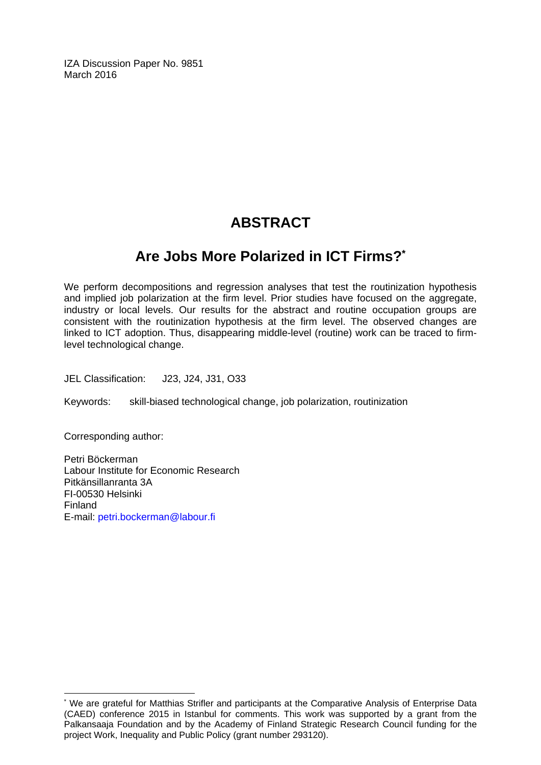IZA Discussion Paper No. 9851 March 2016

## **ABSTRACT**

## **Are Jobs More Polarized in ICT Firms?\***

We perform decompositions and regression analyses that test the routinization hypothesis and implied job polarization at the firm level. Prior studies have focused on the aggregate, industry or local levels. Our results for the abstract and routine occupation groups are consistent with the routinization hypothesis at the firm level. The observed changes are linked to ICT adoption. Thus, disappearing middle-level (routine) work can be traced to firmlevel technological change.

JEL Classification: J23, J24, J31, O33

Keywords: skill-biased technological change, job polarization, routinization

Corresponding author:

 $\overline{a}$ 

Petri Böckerman Labour Institute for Economic Research Pitkänsillanranta 3A FI-00530 Helsinki Finland E-mail: petri.bockerman@labour.fi

<sup>\*</sup> We are grateful for Matthias Strifler and participants at the Comparative Analysis of Enterprise Data (CAED) conference 2015 in Istanbul for comments. This work was supported by a grant from the Palkansaaja Foundation and by the Academy of Finland Strategic Research Council funding for the project Work, Inequality and Public Policy (grant number 293120).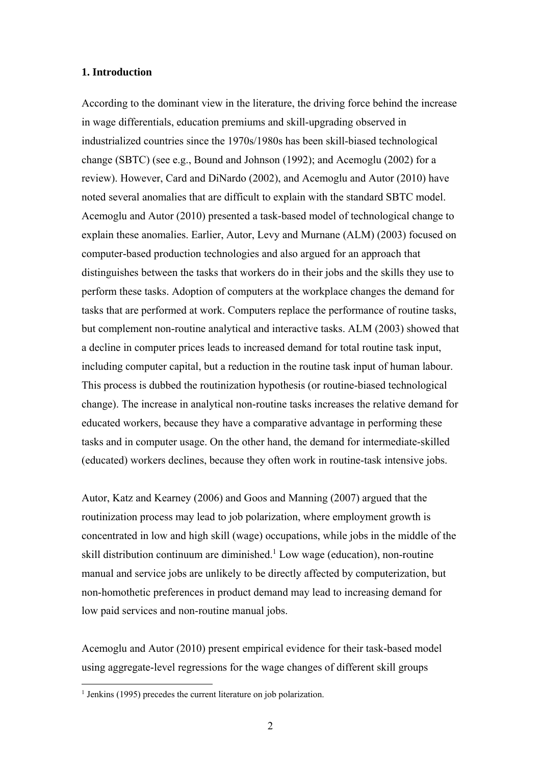#### **1. Introduction**

According to the dominant view in the literature, the driving force behind the increase in wage differentials, education premiums and skill-upgrading observed in industrialized countries since the 1970s/1980s has been skill-biased technological change (SBTC) (see e.g., Bound and Johnson (1992); and Acemoglu (2002) for a review). However, Card and DiNardo (2002), and Acemoglu and Autor (2010) have noted several anomalies that are difficult to explain with the standard SBTC model. Acemoglu and Autor (2010) presented a task-based model of technological change to explain these anomalies. Earlier, Autor, Levy and Murnane (ALM) (2003) focused on computer-based production technologies and also argued for an approach that distinguishes between the tasks that workers do in their jobs and the skills they use to perform these tasks. Adoption of computers at the workplace changes the demand for tasks that are performed at work. Computers replace the performance of routine tasks, but complement non-routine analytical and interactive tasks. ALM (2003) showed that a decline in computer prices leads to increased demand for total routine task input, including computer capital, but a reduction in the routine task input of human labour. This process is dubbed the routinization hypothesis (or routine-biased technological change). The increase in analytical non-routine tasks increases the relative demand for educated workers, because they have a comparative advantage in performing these tasks and in computer usage. On the other hand, the demand for intermediate-skilled (educated) workers declines, because they often work in routine-task intensive jobs.

Autor, Katz and Kearney (2006) and Goos and Manning (2007) argued that the routinization process may lead to job polarization, where employment growth is concentrated in low and high skill (wage) occupations, while jobs in the middle of the skill distribution continuum are diminished.<sup>1</sup> Low wage (education), non-routine manual and service jobs are unlikely to be directly affected by computerization, but non-homothetic preferences in product demand may lead to increasing demand for low paid services and non-routine manual jobs.

Acemoglu and Autor (2010) present empirical evidence for their task-based model using aggregate-level regressions for the wage changes of different skill groups

 1 Jenkins (1995) precedes the current literature on job polarization.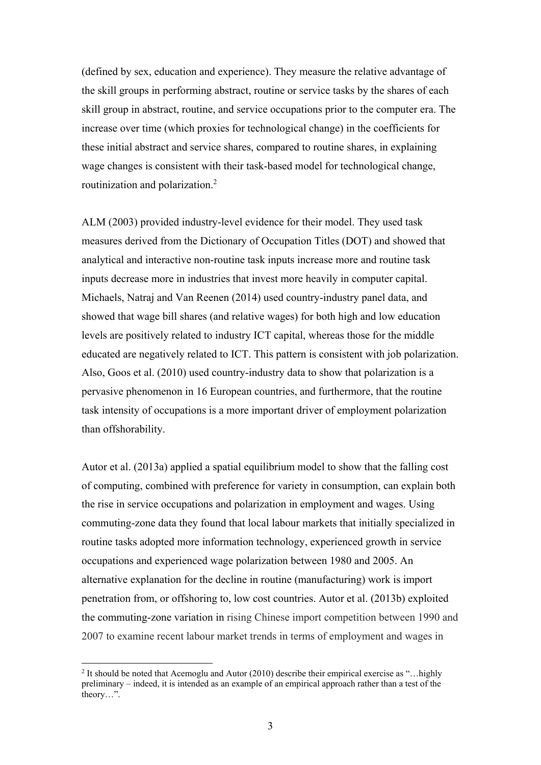(defined by sex, education and experience). They measure the relative advantage of the skill groups in performing abstract, routine or service tasks by the shares of each skill group in abstract, routine, and service occupations prior to the computer era. The increase over time (which proxies for technological change) in the coefficients for these initial abstract and service shares, compared to routine shares, in explaining wage changes is consistent with their task-based model for technological change, routinization and polarization.2

ALM (2003) provided industry-level evidence for their model. They used task measures derived from the Dictionary of Occupation Titles (DOT) and showed that analytical and interactive non-routine task inputs increase more and routine task inputs decrease more in industries that invest more heavily in computer capital. Michaels, Natraj and Van Reenen (2014) used country-industry panel data, and showed that wage bill shares (and relative wages) for both high and low education levels are positively related to industry ICT capital, whereas those for the middle educated are negatively related to ICT. This pattern is consistent with job polarization. Also, Goos et al. (2010) used country-industry data to show that polarization is a pervasive phenomenon in 16 European countries, and furthermore, that the routine task intensity of occupations is a more important driver of employment polarization than offshorability.

Autor et al. (2013a) applied a spatial equilibrium model to show that the falling cost of computing, combined with preference for variety in consumption, can explain both the rise in service occupations and polarization in employment and wages. Using commuting-zone data they found that local labour markets that initially specialized in routine tasks adopted more information technology, experienced growth in service occupations and experienced wage polarization between 1980 and 2005. An alternative explanation for the decline in routine (manufacturing) work is import penetration from, or offshoring to, low cost countries. Autor et al. (2013b) exploited the commuting-zone variation in rising Chinese import competition between 1990 and 2007 to examine recent labour market trends in terms of employment and wages in

 $\overline{a}$ 

<sup>&</sup>lt;sup>2</sup> It should be noted that Acemoglu and Autor (2010) describe their empirical exercise as "...highly preliminary – indeed, it is intended as an example of an empirical approach rather than a test of the theory…".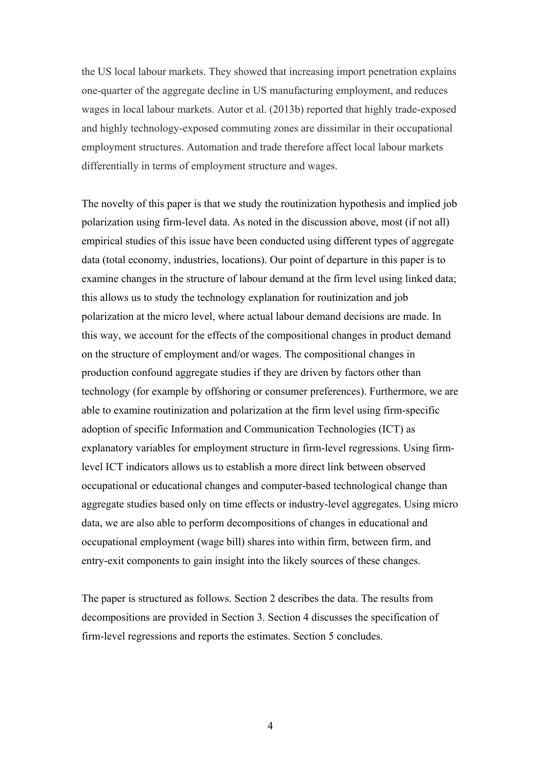the US local labour markets. They showed that increasing import penetration explains one-quarter of the aggregate decline in US manufacturing employment, and reduces wages in local labour markets. Autor et al. (2013b) reported that highly trade-exposed and highly technology-exposed commuting zones are dissimilar in their occupational employment structures. Automation and trade therefore affect local labour markets differentially in terms of employment structure and wages.

The novelty of this paper is that we study the routinization hypothesis and implied job polarization using firm-level data. As noted in the discussion above, most (if not all) empirical studies of this issue have been conducted using different types of aggregate data (total economy, industries, locations). Our point of departure in this paper is to examine changes in the structure of labour demand at the firm level using linked data; this allows us to study the technology explanation for routinization and job polarization at the micro level, where actual labour demand decisions are made. In this way, we account for the effects of the compositional changes in product demand on the structure of employment and/or wages. The compositional changes in production confound aggregate studies if they are driven by factors other than technology (for example by offshoring or consumer preferences). Furthermore, we are able to examine routinization and polarization at the firm level using firm-specific adoption of specific Information and Communication Technologies (ICT) as explanatory variables for employment structure in firm-level regressions. Using firmlevel ICT indicators allows us to establish a more direct link between observed occupational or educational changes and computer-based technological change than aggregate studies based only on time effects or industry-level aggregates. Using micro data, we are also able to perform decompositions of changes in educational and occupational employment (wage bill) shares into within firm, between firm, and entry-exit components to gain insight into the likely sources of these changes.

The paper is structured as follows. Section 2 describes the data. The results from decompositions are provided in Section 3. Section 4 discusses the specification of firm-level regressions and reports the estimates. Section 5 concludes.

4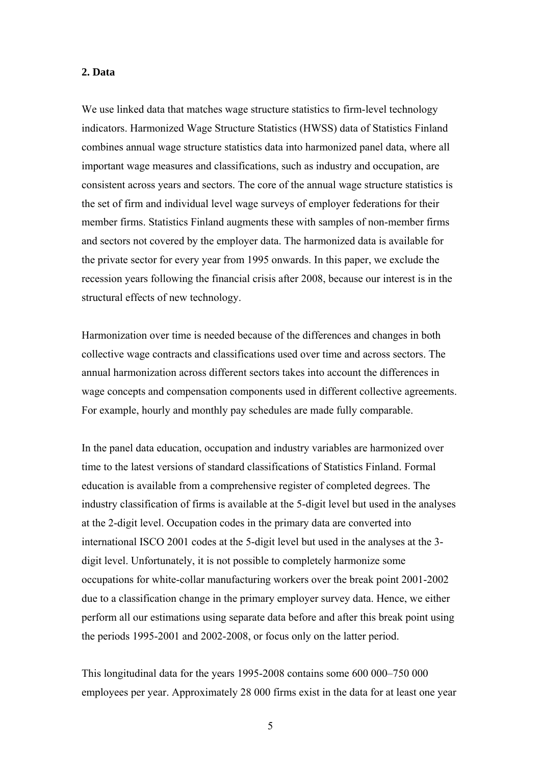#### **2. Data**

We use linked data that matches wage structure statistics to firm-level technology indicators. Harmonized Wage Structure Statistics (HWSS) data of Statistics Finland combines annual wage structure statistics data into harmonized panel data, where all important wage measures and classifications, such as industry and occupation, are consistent across years and sectors. The core of the annual wage structure statistics is the set of firm and individual level wage surveys of employer federations for their member firms. Statistics Finland augments these with samples of non-member firms and sectors not covered by the employer data. The harmonized data is available for the private sector for every year from 1995 onwards. In this paper, we exclude the recession years following the financial crisis after 2008, because our interest is in the structural effects of new technology.

Harmonization over time is needed because of the differences and changes in both collective wage contracts and classifications used over time and across sectors. The annual harmonization across different sectors takes into account the differences in wage concepts and compensation components used in different collective agreements. For example, hourly and monthly pay schedules are made fully comparable.

In the panel data education, occupation and industry variables are harmonized over time to the latest versions of standard classifications of Statistics Finland. Formal education is available from a comprehensive register of completed degrees. The industry classification of firms is available at the 5-digit level but used in the analyses at the 2-digit level. Occupation codes in the primary data are converted into international ISCO 2001 codes at the 5-digit level but used in the analyses at the 3 digit level. Unfortunately, it is not possible to completely harmonize some occupations for white-collar manufacturing workers over the break point 2001-2002 due to a classification change in the primary employer survey data. Hence, we either perform all our estimations using separate data before and after this break point using the periods 1995-2001 and 2002-2008, or focus only on the latter period.

This longitudinal data for the years 1995-2008 contains some 600 000–750 000 employees per year. Approximately 28 000 firms exist in the data for at least one year

5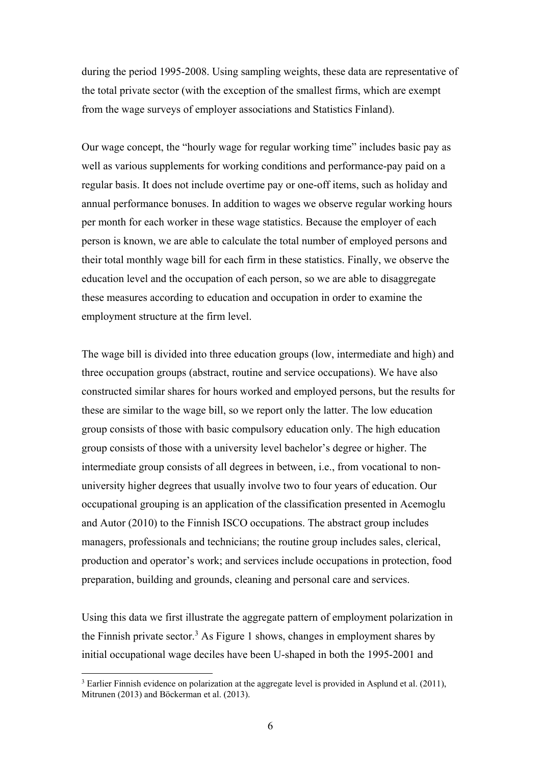during the period 1995-2008. Using sampling weights, these data are representative of the total private sector (with the exception of the smallest firms, which are exempt from the wage surveys of employer associations and Statistics Finland).

Our wage concept, the "hourly wage for regular working time" includes basic pay as well as various supplements for working conditions and performance-pay paid on a regular basis. It does not include overtime pay or one-off items, such as holiday and annual performance bonuses. In addition to wages we observe regular working hours per month for each worker in these wage statistics. Because the employer of each person is known, we are able to calculate the total number of employed persons and their total monthly wage bill for each firm in these statistics. Finally, we observe the education level and the occupation of each person, so we are able to disaggregate these measures according to education and occupation in order to examine the employment structure at the firm level.

The wage bill is divided into three education groups (low, intermediate and high) and three occupation groups (abstract, routine and service occupations). We have also constructed similar shares for hours worked and employed persons, but the results for these are similar to the wage bill, so we report only the latter. The low education group consists of those with basic compulsory education only. The high education group consists of those with a university level bachelor's degree or higher. The intermediate group consists of all degrees in between, i.e., from vocational to nonuniversity higher degrees that usually involve two to four years of education. Our occupational grouping is an application of the classification presented in Acemoglu and Autor (2010) to the Finnish ISCO occupations. The abstract group includes managers, professionals and technicians; the routine group includes sales, clerical, production and operator's work; and services include occupations in protection, food preparation, building and grounds, cleaning and personal care and services.

Using this data we first illustrate the aggregate pattern of employment polarization in the Finnish private sector.<sup>3</sup> As Figure 1 shows, changes in employment shares by initial occupational wage deciles have been U-shaped in both the 1995-2001 and

 $\overline{a}$ 

<sup>&</sup>lt;sup>3</sup> Earlier Finnish evidence on polarization at the aggregate level is provided in Asplund et al. (2011), Mitrunen (2013) and Böckerman et al. (2013).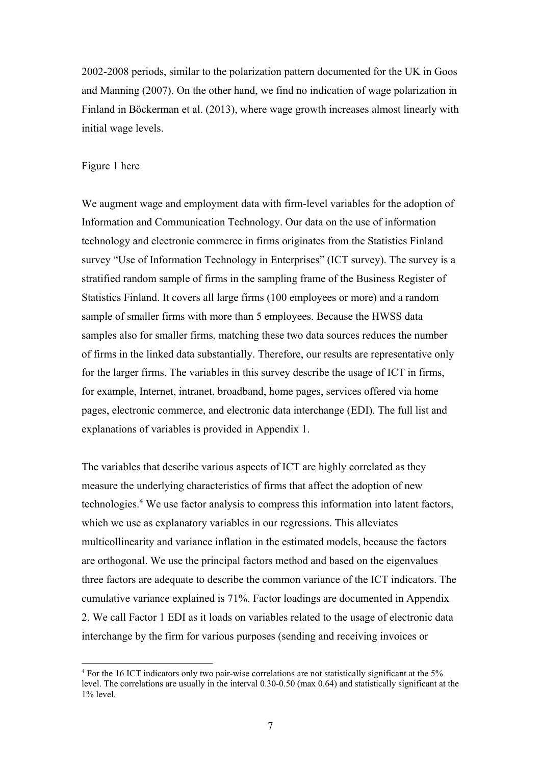2002-2008 periods, similar to the polarization pattern documented for the UK in Goos and Manning (2007). On the other hand, we find no indication of wage polarization in Finland in Böckerman et al. (2013), where wage growth increases almost linearly with initial wage levels.

#### Figure 1 here

 $\overline{a}$ 

We augment wage and employment data with firm-level variables for the adoption of Information and Communication Technology. Our data on the use of information technology and electronic commerce in firms originates from the Statistics Finland survey "Use of Information Technology in Enterprises" (ICT survey). The survey is a stratified random sample of firms in the sampling frame of the Business Register of Statistics Finland. It covers all large firms (100 employees or more) and a random sample of smaller firms with more than 5 employees. Because the HWSS data samples also for smaller firms, matching these two data sources reduces the number of firms in the linked data substantially. Therefore, our results are representative only for the larger firms. The variables in this survey describe the usage of ICT in firms, for example, Internet, intranet, broadband, home pages, services offered via home pages, electronic commerce, and electronic data interchange (EDI). The full list and explanations of variables is provided in Appendix 1.

The variables that describe various aspects of ICT are highly correlated as they measure the underlying characteristics of firms that affect the adoption of new technologies.<sup>4</sup> We use factor analysis to compress this information into latent factors, which we use as explanatory variables in our regressions. This alleviates multicollinearity and variance inflation in the estimated models, because the factors are orthogonal. We use the principal factors method and based on the eigenvalues three factors are adequate to describe the common variance of the ICT indicators. The cumulative variance explained is 71%. Factor loadings are documented in Appendix 2. We call Factor 1 EDI as it loads on variables related to the usage of electronic data interchange by the firm for various purposes (sending and receiving invoices or

<sup>&</sup>lt;sup>4</sup> For the 16 ICT indicators only two pair-wise correlations are not statistically significant at the 5% level. The correlations are usually in the interval 0.30-0.50 (max 0.64) and statistically significant at the 1% level.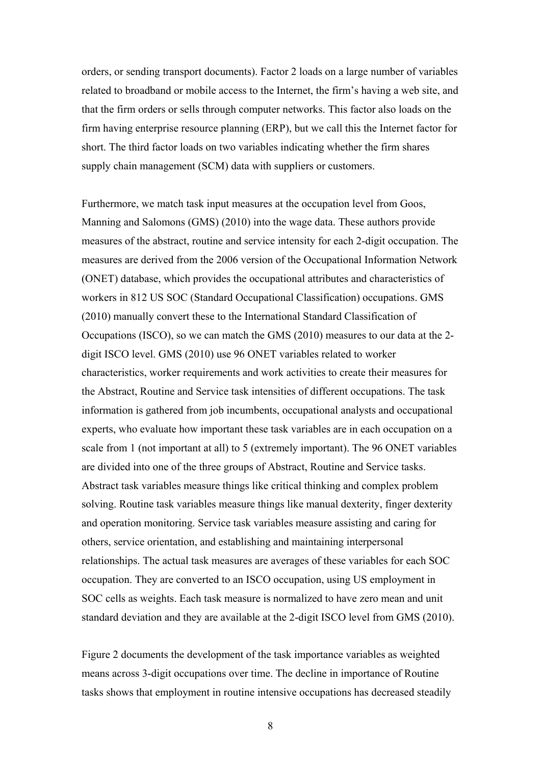orders, or sending transport documents). Factor 2 loads on a large number of variables related to broadband or mobile access to the Internet, the firm's having a web site, and that the firm orders or sells through computer networks. This factor also loads on the firm having enterprise resource planning (ERP), but we call this the Internet factor for short. The third factor loads on two variables indicating whether the firm shares supply chain management (SCM) data with suppliers or customers.

Furthermore, we match task input measures at the occupation level from Goos, Manning and Salomons (GMS) (2010) into the wage data. These authors provide measures of the abstract, routine and service intensity for each 2-digit occupation. The measures are derived from the 2006 version of the Occupational Information Network (ONET) database, which provides the occupational attributes and characteristics of workers in 812 US SOC (Standard Occupational Classification) occupations. GMS (2010) manually convert these to the International Standard Classification of Occupations (ISCO), so we can match the GMS (2010) measures to our data at the 2 digit ISCO level. GMS (2010) use 96 ONET variables related to worker characteristics, worker requirements and work activities to create their measures for the Abstract, Routine and Service task intensities of different occupations. The task information is gathered from job incumbents, occupational analysts and occupational experts, who evaluate how important these task variables are in each occupation on a scale from 1 (not important at all) to 5 (extremely important). The 96 ONET variables are divided into one of the three groups of Abstract, Routine and Service tasks. Abstract task variables measure things like critical thinking and complex problem solving. Routine task variables measure things like manual dexterity, finger dexterity and operation monitoring. Service task variables measure assisting and caring for others, service orientation, and establishing and maintaining interpersonal relationships. The actual task measures are averages of these variables for each SOC occupation. They are converted to an ISCO occupation, using US employment in SOC cells as weights. Each task measure is normalized to have zero mean and unit standard deviation and they are available at the 2-digit ISCO level from GMS (2010).

Figure 2 documents the development of the task importance variables as weighted means across 3-digit occupations over time. The decline in importance of Routine tasks shows that employment in routine intensive occupations has decreased steadily

8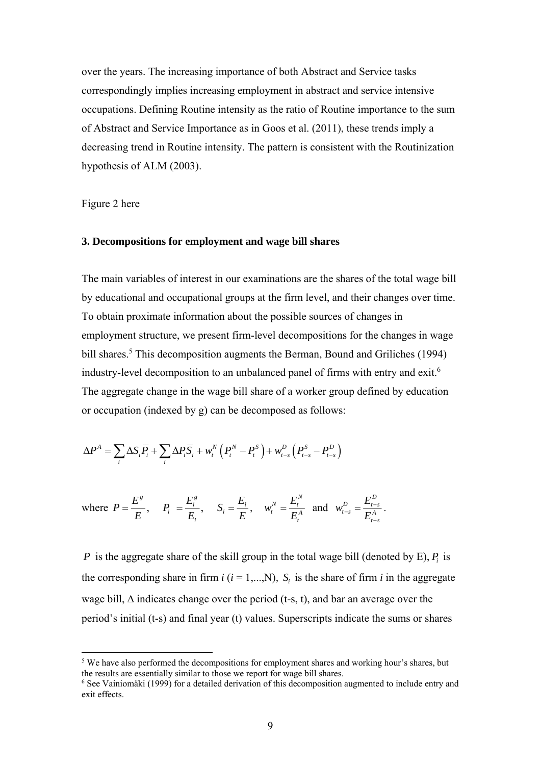over the years. The increasing importance of both Abstract and Service tasks correspondingly implies increasing employment in abstract and service intensive occupations. Defining Routine intensity as the ratio of Routine importance to the sum of Abstract and Service Importance as in Goos et al. (2011), these trends imply a decreasing trend in Routine intensity. The pattern is consistent with the Routinization hypothesis of ALM (2003).

Figure 2 here

 $\overline{a}$ 

#### **3. Decompositions for employment and wage bill shares**

The main variables of interest in our examinations are the shares of the total wage bill by educational and occupational groups at the firm level, and their changes over time. To obtain proximate information about the possible sources of changes in employment structure, we present firm-level decompositions for the changes in wage bill shares.<sup>5</sup> This decomposition augments the Berman, Bound and Griliches (1994) industry-level decomposition to an unbalanced panel of firms with entry and exit.6 The aggregate change in the wage bill share of a worker group defined by education or occupation (indexed by g) can be decomposed as follows:

$$
\Delta P^A = \sum_i \Delta S_i \overline{P}_i + \sum_i \Delta P_i \overline{S}_i + w_i^N \left( P_i^N - P_i^S \right) + w_{i-s}^D \left( P_{i-s}^S - P_{i-s}^D \right)
$$

where 
$$
P = \frac{E^s}{E}
$$
,  $P_i = \frac{E_i^s}{E_i}$ ,  $S_i = \frac{E_i}{E}$ ,  $w_i^N = \frac{E_i^N}{E_i^A}$  and  $w_{t-s}^D = \frac{E_{t-s}^D}{E_{t-s}^A}$ .

*P* is the aggregate share of the skill group in the total wage bill (denoted by E),  $P_i$  is the corresponding share in firm  $i$  ( $i = 1,...,N$ ),  $S_i$  is the share of firm  $i$  in the aggregate wage bill,  $\Delta$  indicates change over the period (t-s, t), and bar an average over the period's initial (t-s) and final year (t) values. Superscripts indicate the sums or shares

<sup>&</sup>lt;sup>5</sup> We have also performed the decompositions for employment shares and working hour's shares, but the results are essentially similar to those we report for wage bill shares. 6

 $6$  See Vainiomäki (1999) for a detailed derivation of this decomposition augmented to include entry and exit effects.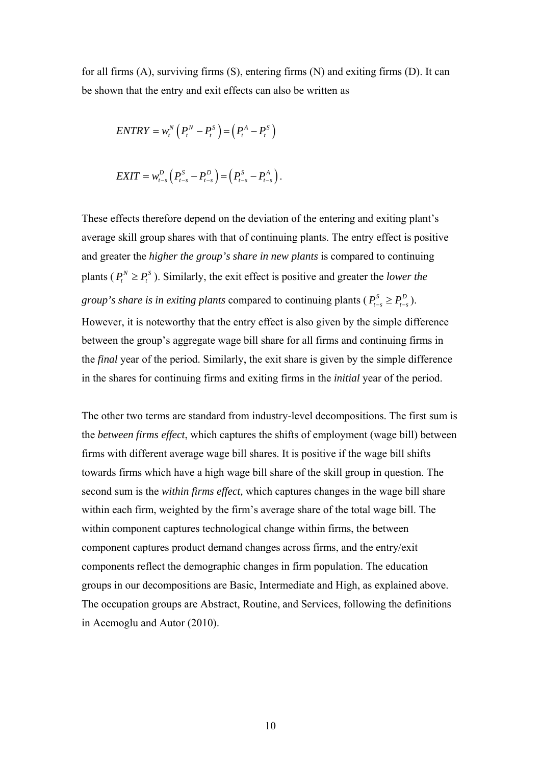for all firms (A), surviving firms (S), entering firms (N) and exiting firms (D). It can be shown that the entry and exit effects can also be written as

$$
ENTRY = w_t^N \left( P_t^N - P_t^S \right) = \left( P_t^A - P_t^S \right)
$$

$$
EXIT = w_{t-s}^D (P_{t-s}^S - P_{t-s}^D) = (P_{t-s}^S - P_{t-s}^A).
$$

These effects therefore depend on the deviation of the entering and exiting plant's average skill group shares with that of continuing plants. The entry effect is positive and greater the *higher the group's share in new plants* is compared to continuing plants ( $P_t^N \ge P_t^S$ ). Similarly, the exit effect is positive and greater the *lower the group's share is in exiting plants* compared to continuing plants ( $P_{t-s}^S \geq P_{t-s}^D$ ). However, it is noteworthy that the entry effect is also given by the simple difference between the group's aggregate wage bill share for all firms and continuing firms in the *final* year of the period. Similarly, the exit share is given by the simple difference in the shares for continuing firms and exiting firms in the *initial* year of the period.

The other two terms are standard from industry-level decompositions. The first sum is the *between firms effect*, which captures the shifts of employment (wage bill) between firms with different average wage bill shares. It is positive if the wage bill shifts towards firms which have a high wage bill share of the skill group in question. The second sum is the *within firms effect,* which captures changes in the wage bill share within each firm, weighted by the firm's average share of the total wage bill. The within component captures technological change within firms, the between component captures product demand changes across firms, and the entry/exit components reflect the demographic changes in firm population. The education groups in our decompositions are Basic, Intermediate and High, as explained above. The occupation groups are Abstract, Routine, and Services, following the definitions in Acemoglu and Autor (2010).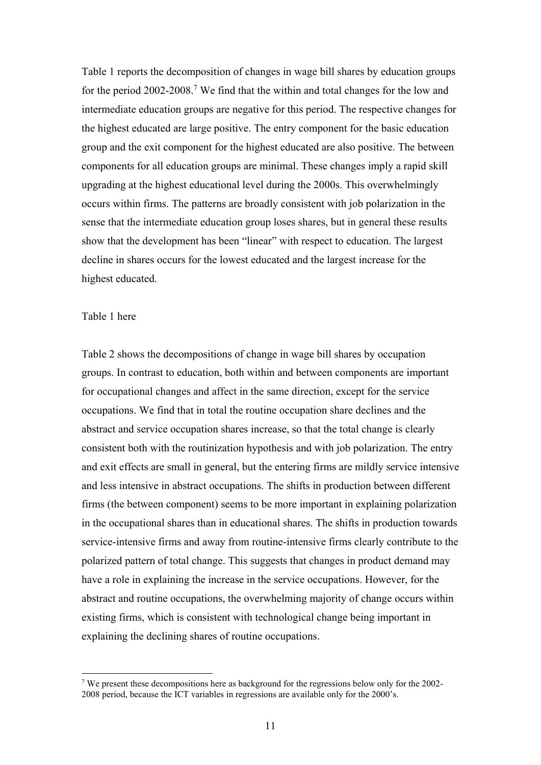Table 1 reports the decomposition of changes in wage bill shares by education groups for the period 2002-2008.<sup>7</sup> We find that the within and total changes for the low and intermediate education groups are negative for this period. The respective changes for the highest educated are large positive. The entry component for the basic education group and the exit component for the highest educated are also positive. The between components for all education groups are minimal. These changes imply a rapid skill upgrading at the highest educational level during the 2000s. This overwhelmingly occurs within firms. The patterns are broadly consistent with job polarization in the sense that the intermediate education group loses shares, but in general these results show that the development has been "linear" with respect to education. The largest decline in shares occurs for the lowest educated and the largest increase for the highest educated.

#### Table 1 here

 $\overline{a}$ 

Table 2 shows the decompositions of change in wage bill shares by occupation groups. In contrast to education, both within and between components are important for occupational changes and affect in the same direction, except for the service occupations. We find that in total the routine occupation share declines and the abstract and service occupation shares increase, so that the total change is clearly consistent both with the routinization hypothesis and with job polarization. The entry and exit effects are small in general, but the entering firms are mildly service intensive and less intensive in abstract occupations. The shifts in production between different firms (the between component) seems to be more important in explaining polarization in the occupational shares than in educational shares. The shifts in production towards service-intensive firms and away from routine-intensive firms clearly contribute to the polarized pattern of total change. This suggests that changes in product demand may have a role in explaining the increase in the service occupations. However, for the abstract and routine occupations, the overwhelming majority of change occurs within existing firms, which is consistent with technological change being important in explaining the declining shares of routine occupations.

<sup>&</sup>lt;sup>7</sup> We present these decompositions here as background for the regressions below only for the 2002-2008 period, because the ICT variables in regressions are available only for the 2000's.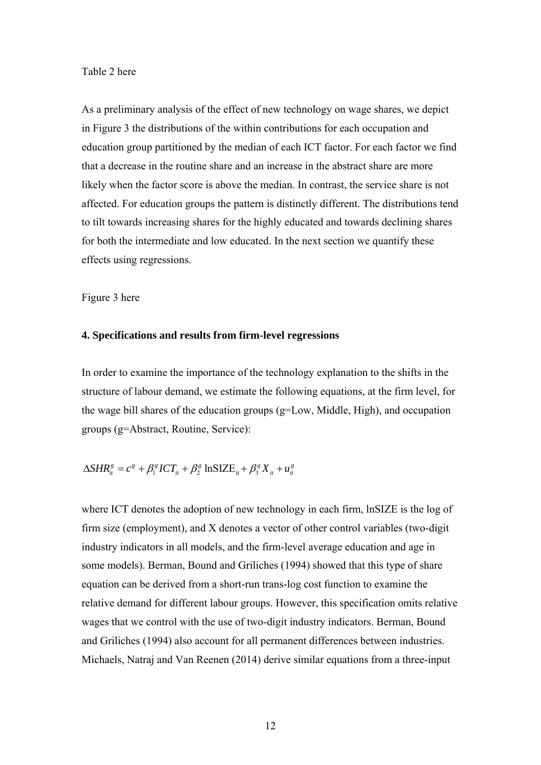#### Table 2 here

As a preliminary analysis of the effect of new technology on wage shares, we depict in Figure 3 the distributions of the within contributions for each occupation and education group partitioned by the median of each ICT factor. For each factor we find that a decrease in the routine share and an increase in the abstract share are more likely when the factor score is above the median. In contrast, the service share is not affected. For education groups the pattern is distinctly different. The distributions tend to tilt towards increasing shares for the highly educated and towards declining shares for both the intermediate and low educated. In the next section we quantify these effects using regressions.

Figure 3 here

#### **4. Specifications and results from firm-level regressions**

In order to examine the importance of the technology explanation to the shifts in the structure of labour demand, we estimate the following equations, at the firm level, for the wage bill shares of the education groups (g=Low, Middle, High), and occupation groups (g=Abstract, Routine, Service):

$$
\Delta SHR_i^g = c^g + \beta_1^g ICT_{ii} + \beta_2^g \ln SLE_{ii} + \beta_3^g X_{ii} + u_{ii}^g
$$

where ICT denotes the adoption of new technology in each firm, lnSIZE is the log of firm size (employment), and X denotes a vector of other control variables (two-digit industry indicators in all models, and the firm-level average education and age in some models). Berman, Bound and Griliches (1994) showed that this type of share equation can be derived from a short-run trans-log cost function to examine the relative demand for different labour groups. However, this specification omits relative wages that we control with the use of two-digit industry indicators. Berman, Bound and Griliches (1994) also account for all permanent differences between industries. Michaels, Natraj and Van Reenen (2014) derive similar equations from a three-input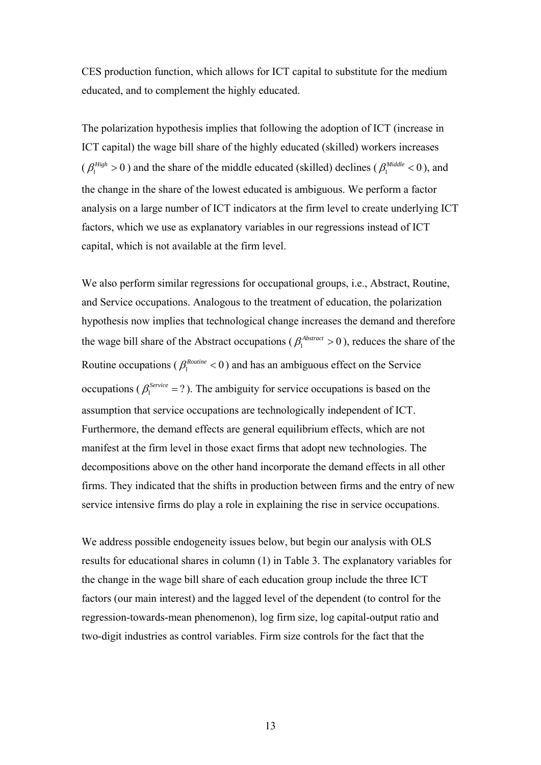CES production function, which allows for ICT capital to substitute for the medium educated, and to complement the highly educated.

The polarization hypothesis implies that following the adoption of ICT (increase in ICT capital) the wage bill share of the highly educated (skilled) workers increases ( $\beta_1^{High} > 0$ ) and the share of the middle educated (skilled) declines ( $\beta_1^{ Middle} < 0$ ), and the change in the share of the lowest educated is ambiguous. We perform a factor analysis on a large number of ICT indicators at the firm level to create underlying ICT factors, which we use as explanatory variables in our regressions instead of ICT capital, which is not available at the firm level.

We also perform similar regressions for occupational groups, *i.e.*, Abstract, Routine, and Service occupations. Analogous to the treatment of education, the polarization hypothesis now implies that technological change increases the demand and therefore the wage bill share of the Abstract occupations ( $\beta_1^{Abstract} > 0$ ), reduces the share of the Routine occupations ( $\beta_1^{Routine}$  < 0) and has an ambiguous effect on the Service occupations ( $\beta_1^{Service} = ?$ ). The ambiguity for service occupations is based on the assumption that service occupations are technologically independent of ICT. Furthermore, the demand effects are general equilibrium effects, which are not manifest at the firm level in those exact firms that adopt new technologies. The decompositions above on the other hand incorporate the demand effects in all other firms. They indicated that the shifts in production between firms and the entry of new service intensive firms do play a role in explaining the rise in service occupations.

We address possible endogeneity issues below, but begin our analysis with OLS results for educational shares in column (1) in Table 3. The explanatory variables for the change in the wage bill share of each education group include the three ICT factors (our main interest) and the lagged level of the dependent (to control for the regression-towards-mean phenomenon), log firm size, log capital-output ratio and two-digit industries as control variables. Firm size controls for the fact that the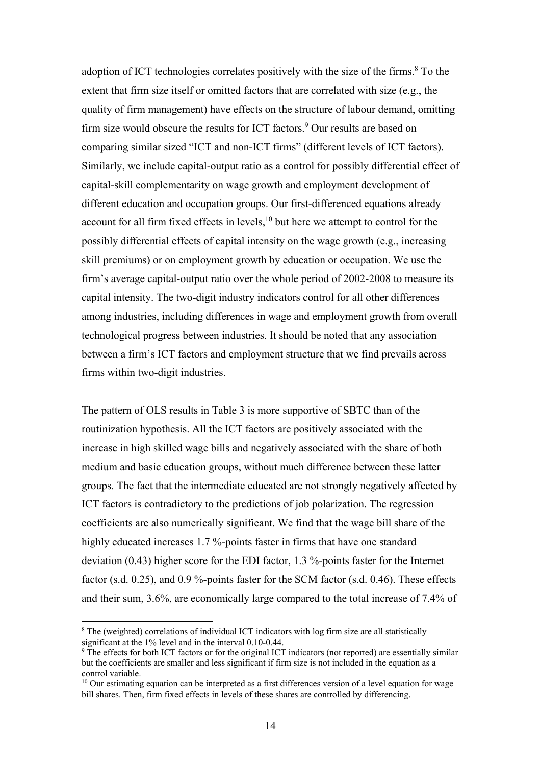adoption of ICT technologies correlates positively with the size of the firms.<sup>8</sup> To the extent that firm size itself or omitted factors that are correlated with size (e.g., the quality of firm management) have effects on the structure of labour demand, omitting firm size would obscure the results for ICT factors.<sup>9</sup> Our results are based on comparing similar sized "ICT and non-ICT firms" (different levels of ICT factors). Similarly, we include capital-output ratio as a control for possibly differential effect of capital-skill complementarity on wage growth and employment development of different education and occupation groups. Our first-differenced equations already account for all firm fixed effects in levels, $10$  but here we attempt to control for the possibly differential effects of capital intensity on the wage growth (e.g., increasing skill premiums) or on employment growth by education or occupation. We use the firm's average capital-output ratio over the whole period of 2002-2008 to measure its capital intensity. The two-digit industry indicators control for all other differences among industries, including differences in wage and employment growth from overall technological progress between industries. It should be noted that any association between a firm's ICT factors and employment structure that we find prevails across firms within two-digit industries.

The pattern of OLS results in Table 3 is more supportive of SBTC than of the routinization hypothesis. All the ICT factors are positively associated with the increase in high skilled wage bills and negatively associated with the share of both medium and basic education groups, without much difference between these latter groups. The fact that the intermediate educated are not strongly negatively affected by ICT factors is contradictory to the predictions of job polarization. The regression coefficients are also numerically significant. We find that the wage bill share of the highly educated increases 1.7 %-points faster in firms that have one standard deviation (0.43) higher score for the EDI factor, 1.3 %-points faster for the Internet factor (s.d. 0.25), and 0.9 %-points faster for the SCM factor (s.d. 0.46). These effects and their sum, 3.6%, are economically large compared to the total increase of 7.4% of

 $\overline{a}$ 

<sup>&</sup>lt;sup>8</sup> The (weighted) correlations of individual ICT indicators with log firm size are all statistically significant at the 1% level and in the interval 0.10-0.44.

<sup>&</sup>lt;sup>9</sup> The effects for both ICT factors or for the original ICT indicators (not reported) are essentially similar but the coefficients are smaller and less significant if firm size is not included in the equation as a control variable.

 $10$  Our estimating equation can be interpreted as a first differences version of a level equation for wage bill shares. Then, firm fixed effects in levels of these shares are controlled by differencing.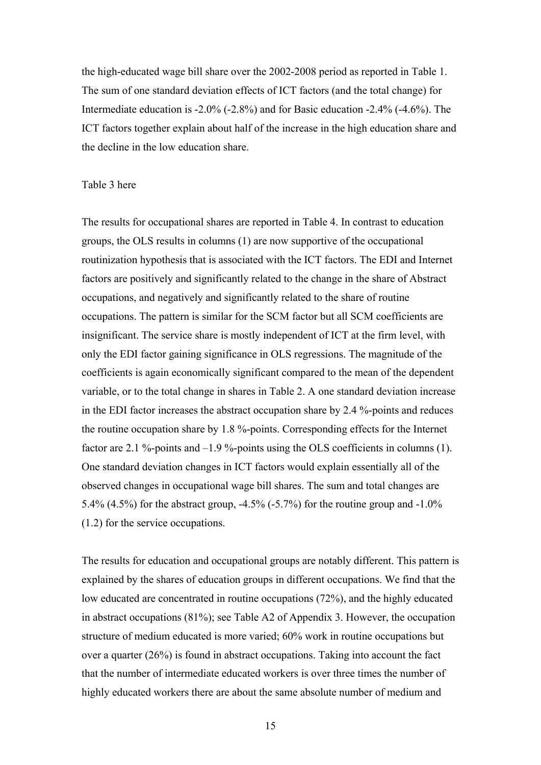the high-educated wage bill share over the 2002-2008 period as reported in Table 1. The sum of one standard deviation effects of ICT factors (and the total change) for Intermediate education is -2.0% (-2.8%) and for Basic education -2.4% (-4.6%). The ICT factors together explain about half of the increase in the high education share and the decline in the low education share.

#### Table 3 here

The results for occupational shares are reported in Table 4. In contrast to education groups, the OLS results in columns (1) are now supportive of the occupational routinization hypothesis that is associated with the ICT factors. The EDI and Internet factors are positively and significantly related to the change in the share of Abstract occupations, and negatively and significantly related to the share of routine occupations. The pattern is similar for the SCM factor but all SCM coefficients are insignificant. The service share is mostly independent of ICT at the firm level, with only the EDI factor gaining significance in OLS regressions. The magnitude of the coefficients is again economically significant compared to the mean of the dependent variable, or to the total change in shares in Table 2. A one standard deviation increase in the EDI factor increases the abstract occupation share by 2.4 %-points and reduces the routine occupation share by 1.8 %-points. Corresponding effects for the Internet factor are 2.1 %-points and  $-1.9$  %-points using the OLS coefficients in columns (1). One standard deviation changes in ICT factors would explain essentially all of the observed changes in occupational wage bill shares. The sum and total changes are 5.4% (4.5%) for the abstract group, -4.5% (-5.7%) for the routine group and -1.0% (1.2) for the service occupations.

The results for education and occupational groups are notably different. This pattern is explained by the shares of education groups in different occupations. We find that the low educated are concentrated in routine occupations (72%), and the highly educated in abstract occupations (81%); see Table A2 of Appendix 3. However, the occupation structure of medium educated is more varied; 60% work in routine occupations but over a quarter (26%) is found in abstract occupations. Taking into account the fact that the number of intermediate educated workers is over three times the number of highly educated workers there are about the same absolute number of medium and

15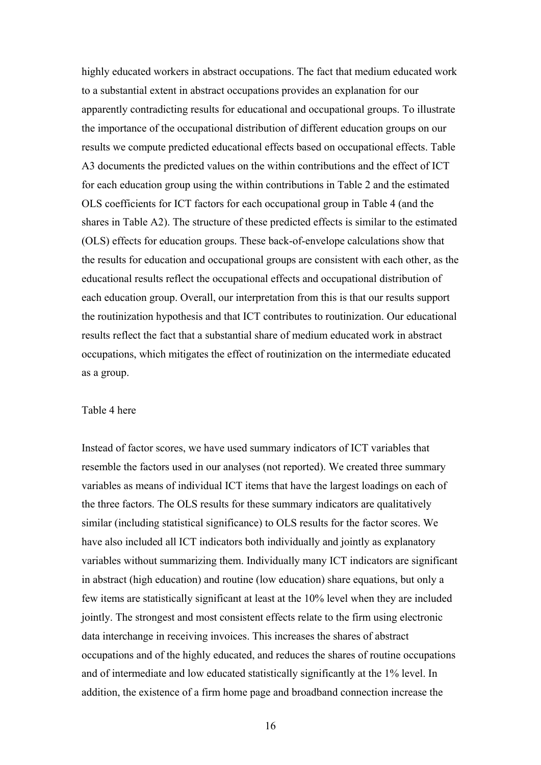highly educated workers in abstract occupations. The fact that medium educated work to a substantial extent in abstract occupations provides an explanation for our apparently contradicting results for educational and occupational groups. To illustrate the importance of the occupational distribution of different education groups on our results we compute predicted educational effects based on occupational effects. Table A3 documents the predicted values on the within contributions and the effect of ICT for each education group using the within contributions in Table 2 and the estimated OLS coefficients for ICT factors for each occupational group in Table 4 (and the shares in Table A2). The structure of these predicted effects is similar to the estimated (OLS) effects for education groups. These back-of-envelope calculations show that the results for education and occupational groups are consistent with each other, as the educational results reflect the occupational effects and occupational distribution of each education group. Overall, our interpretation from this is that our results support the routinization hypothesis and that ICT contributes to routinization. Our educational results reflect the fact that a substantial share of medium educated work in abstract occupations, which mitigates the effect of routinization on the intermediate educated as a group.

#### Table 4 here

Instead of factor scores, we have used summary indicators of ICT variables that resemble the factors used in our analyses (not reported). We created three summary variables as means of individual ICT items that have the largest loadings on each of the three factors. The OLS results for these summary indicators are qualitatively similar (including statistical significance) to OLS results for the factor scores. We have also included all ICT indicators both individually and jointly as explanatory variables without summarizing them. Individually many ICT indicators are significant in abstract (high education) and routine (low education) share equations, but only a few items are statistically significant at least at the 10% level when they are included jointly. The strongest and most consistent effects relate to the firm using electronic data interchange in receiving invoices. This increases the shares of abstract occupations and of the highly educated, and reduces the shares of routine occupations and of intermediate and low educated statistically significantly at the 1% level. In addition, the existence of a firm home page and broadband connection increase the

16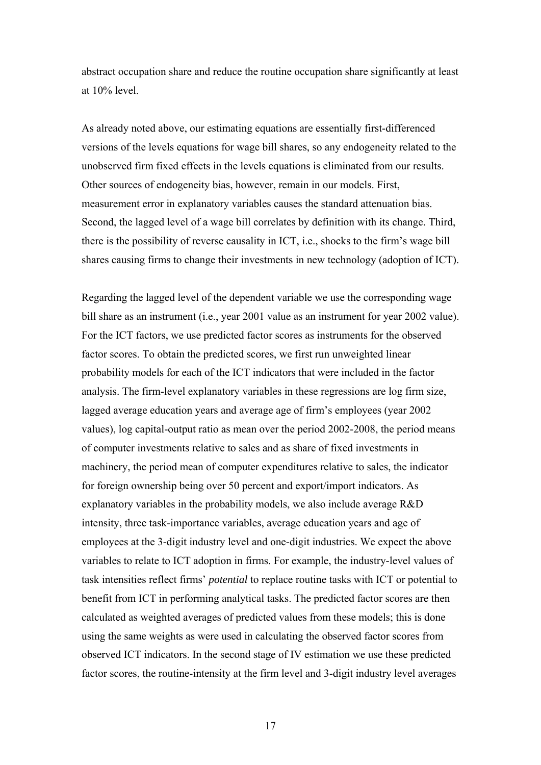abstract occupation share and reduce the routine occupation share significantly at least at 10% level.

As already noted above, our estimating equations are essentially first-differenced versions of the levels equations for wage bill shares, so any endogeneity related to the unobserved firm fixed effects in the levels equations is eliminated from our results. Other sources of endogeneity bias, however, remain in our models. First, measurement error in explanatory variables causes the standard attenuation bias. Second, the lagged level of a wage bill correlates by definition with its change. Third, there is the possibility of reverse causality in ICT, i.e., shocks to the firm's wage bill shares causing firms to change their investments in new technology (adoption of ICT).

Regarding the lagged level of the dependent variable we use the corresponding wage bill share as an instrument (i.e., year 2001 value as an instrument for year 2002 value). For the ICT factors, we use predicted factor scores as instruments for the observed factor scores. To obtain the predicted scores, we first run unweighted linear probability models for each of the ICT indicators that were included in the factor analysis. The firm-level explanatory variables in these regressions are log firm size, lagged average education years and average age of firm's employees (year 2002 values), log capital-output ratio as mean over the period 2002-2008, the period means of computer investments relative to sales and as share of fixed investments in machinery, the period mean of computer expenditures relative to sales, the indicator for foreign ownership being over 50 percent and export/import indicators. As explanatory variables in the probability models, we also include average R&D intensity, three task-importance variables, average education years and age of employees at the 3-digit industry level and one-digit industries. We expect the above variables to relate to ICT adoption in firms. For example, the industry-level values of task intensities reflect firms' *potential* to replace routine tasks with ICT or potential to benefit from ICT in performing analytical tasks. The predicted factor scores are then calculated as weighted averages of predicted values from these models; this is done using the same weights as were used in calculating the observed factor scores from observed ICT indicators. In the second stage of IV estimation we use these predicted factor scores, the routine-intensity at the firm level and 3-digit industry level averages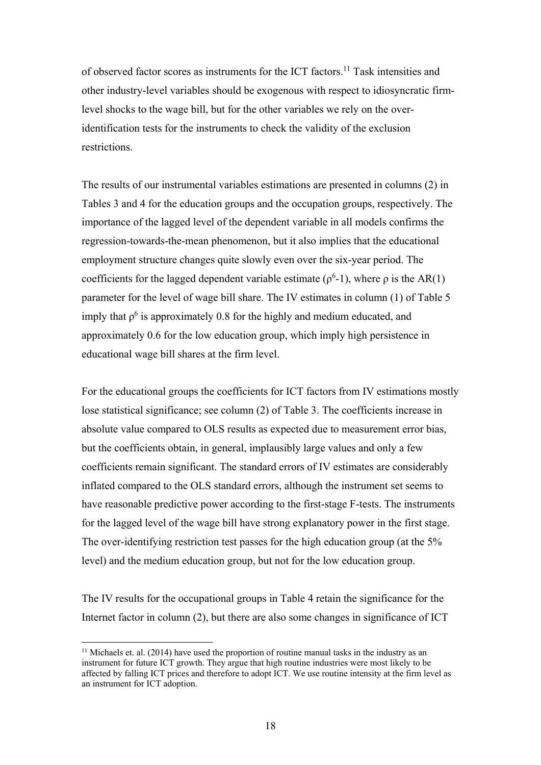of observed factor scores as instruments for the ICT factors.11 Task intensities and other industry-level variables should be exogenous with respect to idiosyncratic firmlevel shocks to the wage bill, but for the other variables we rely on the overidentification tests for the instruments to check the validity of the exclusion restrictions.

The results of our instrumental variables estimations are presented in columns (2) in Tables 3 and 4 for the education groups and the occupation groups, respectively. The importance of the lagged level of the dependent variable in all models confirms the regression-towards-the-mean phenomenon, but it also implies that the educational employment structure changes quite slowly even over the six-year period. The coefficients for the lagged dependent variable estimate ( $\rho^6$ -1), where  $\rho$  is the AR(1) parameter for the level of wage bill share. The IV estimates in column (1) of Table 5 imply that  $\rho^6$  is approximately 0.8 for the highly and medium educated, and approximately 0.6 for the low education group, which imply high persistence in educational wage bill shares at the firm level.

For the educational groups the coefficients for ICT factors from IV estimations mostly lose statistical significance; see column (2) of Table 3. The coefficients increase in absolute value compared to OLS results as expected due to measurement error bias, but the coefficients obtain, in general, implausibly large values and only a few coefficients remain significant. The standard errors of IV estimates are considerably inflated compared to the OLS standard errors, although the instrument set seems to have reasonable predictive power according to the first-stage F-tests. The instruments for the lagged level of the wage bill have strong explanatory power in the first stage. The over-identifying restriction test passes for the high education group (at the 5% level) and the medium education group, but not for the low education group.

The IV results for the occupational groups in Table 4 retain the significance for the Internet factor in column (2), but there are also some changes in significance of ICT

 $\overline{a}$ 

 $11$  Michaels et. al. (2014) have used the proportion of routine manual tasks in the industry as an instrument for future ICT growth. They argue that high routine industries were most likely to be affected by falling ICT prices and therefore to adopt ICT. We use routine intensity at the firm level as an instrument for ICT adoption.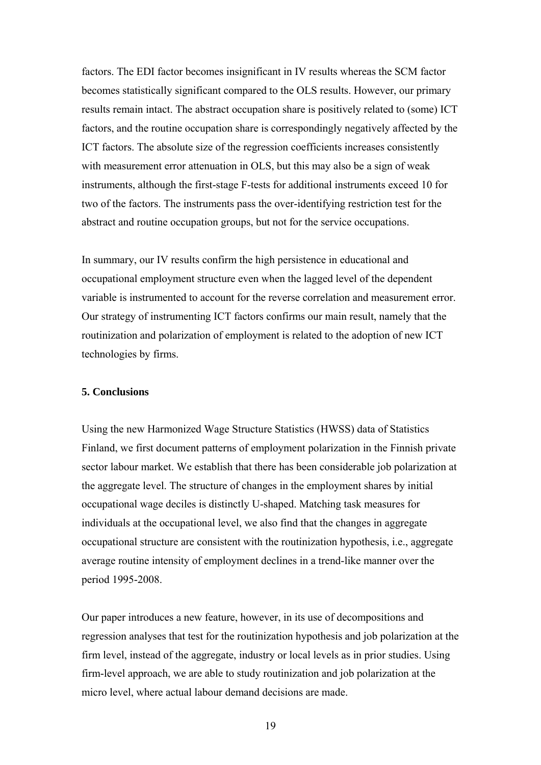factors. The EDI factor becomes insignificant in IV results whereas the SCM factor becomes statistically significant compared to the OLS results. However, our primary results remain intact. The abstract occupation share is positively related to (some) ICT factors, and the routine occupation share is correspondingly negatively affected by the ICT factors. The absolute size of the regression coefficients increases consistently with measurement error attenuation in OLS, but this may also be a sign of weak instruments, although the first-stage F-tests for additional instruments exceed 10 for two of the factors. The instruments pass the over-identifying restriction test for the abstract and routine occupation groups, but not for the service occupations.

In summary, our IV results confirm the high persistence in educational and occupational employment structure even when the lagged level of the dependent variable is instrumented to account for the reverse correlation and measurement error. Our strategy of instrumenting ICT factors confirms our main result, namely that the routinization and polarization of employment is related to the adoption of new ICT technologies by firms.

#### **5. Conclusions**

Using the new Harmonized Wage Structure Statistics (HWSS) data of Statistics Finland, we first document patterns of employment polarization in the Finnish private sector labour market. We establish that there has been considerable job polarization at the aggregate level. The structure of changes in the employment shares by initial occupational wage deciles is distinctly U-shaped. Matching task measures for individuals at the occupational level, we also find that the changes in aggregate occupational structure are consistent with the routinization hypothesis, i.e., aggregate average routine intensity of employment declines in a trend-like manner over the period 1995-2008.

Our paper introduces a new feature, however, in its use of decompositions and regression analyses that test for the routinization hypothesis and job polarization at the firm level, instead of the aggregate, industry or local levels as in prior studies. Using firm-level approach, we are able to study routinization and job polarization at the micro level, where actual labour demand decisions are made.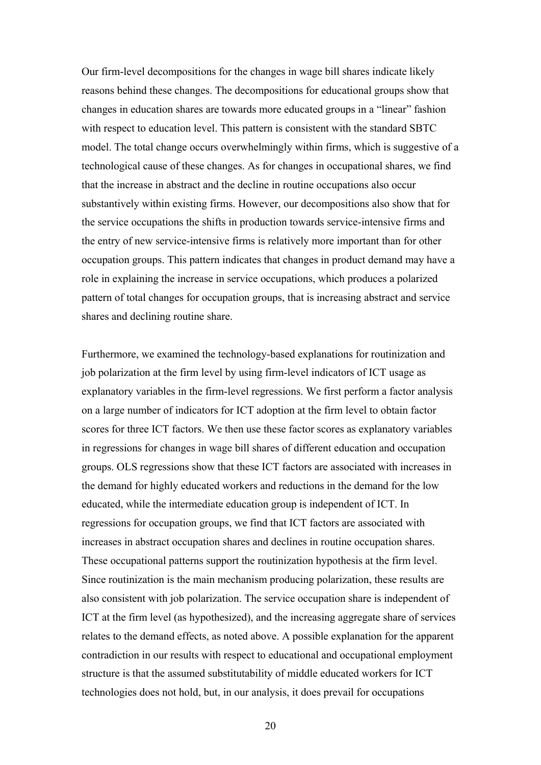Our firm-level decompositions for the changes in wage bill shares indicate likely reasons behind these changes. The decompositions for educational groups show that changes in education shares are towards more educated groups in a "linear" fashion with respect to education level. This pattern is consistent with the standard SBTC model. The total change occurs overwhelmingly within firms, which is suggestive of a technological cause of these changes. As for changes in occupational shares, we find that the increase in abstract and the decline in routine occupations also occur substantively within existing firms. However, our decompositions also show that for the service occupations the shifts in production towards service-intensive firms and the entry of new service-intensive firms is relatively more important than for other occupation groups. This pattern indicates that changes in product demand may have a role in explaining the increase in service occupations, which produces a polarized pattern of total changes for occupation groups, that is increasing abstract and service shares and declining routine share.

Furthermore, we examined the technology-based explanations for routinization and job polarization at the firm level by using firm-level indicators of ICT usage as explanatory variables in the firm-level regressions. We first perform a factor analysis on a large number of indicators for ICT adoption at the firm level to obtain factor scores for three ICT factors. We then use these factor scores as explanatory variables in regressions for changes in wage bill shares of different education and occupation groups. OLS regressions show that these ICT factors are associated with increases in the demand for highly educated workers and reductions in the demand for the low educated, while the intermediate education group is independent of ICT. In regressions for occupation groups, we find that ICT factors are associated with increases in abstract occupation shares and declines in routine occupation shares. These occupational patterns support the routinization hypothesis at the firm level. Since routinization is the main mechanism producing polarization, these results are also consistent with job polarization. The service occupation share is independent of ICT at the firm level (as hypothesized), and the increasing aggregate share of services relates to the demand effects, as noted above. A possible explanation for the apparent contradiction in our results with respect to educational and occupational employment structure is that the assumed substitutability of middle educated workers for ICT technologies does not hold, but, in our analysis, it does prevail for occupations

20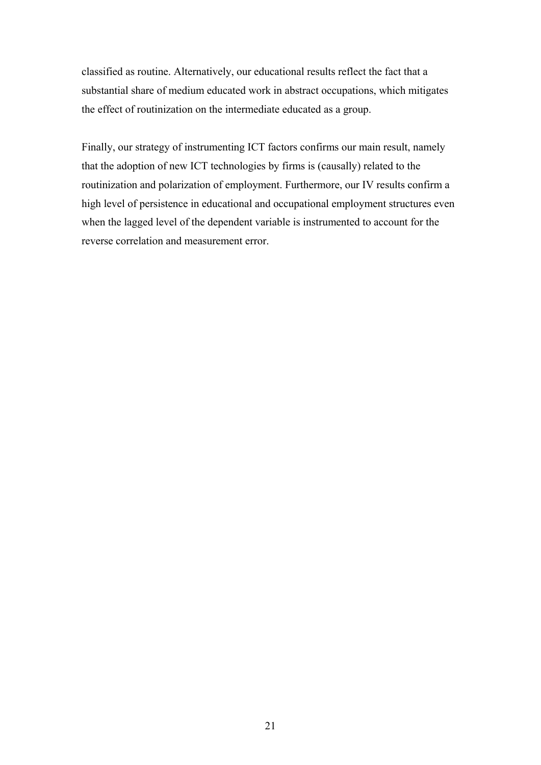classified as routine. Alternatively, our educational results reflect the fact that a substantial share of medium educated work in abstract occupations, which mitigates the effect of routinization on the intermediate educated as a group.

Finally, our strategy of instrumenting ICT factors confirms our main result, namely that the adoption of new ICT technologies by firms is (causally) related to the routinization and polarization of employment. Furthermore, our IV results confirm a high level of persistence in educational and occupational employment structures even when the lagged level of the dependent variable is instrumented to account for the reverse correlation and measurement error.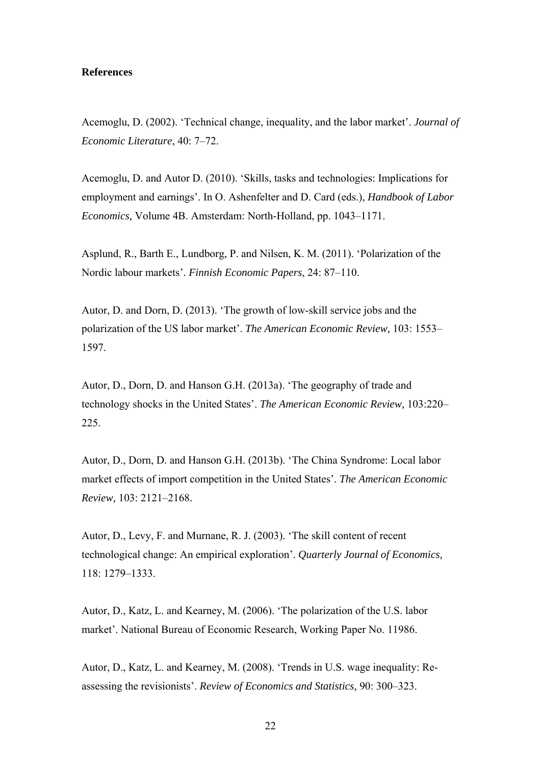#### **References**

Acemoglu, D. (2002). 'Technical change, inequality, and the labor market'. *Journal of Economic Literature*, 40: 7–72.

Acemoglu, D. and Autor D. (2010). 'Skills, tasks and technologies: Implications for employment and earnings'. In O. Ashenfelter and D. Card (eds.), *Handbook of Labor Economics,* Volume 4B. Amsterdam: North-Holland, pp. 1043–1171.

Asplund, R., Barth E., Lundborg, P. and Nilsen, K. M. (2011). 'Polarization of the Nordic labour markets'. *Finnish Economic Papers*, 24: 87–110.

Autor, D. and Dorn, D. (2013). 'The growth of low-skill service jobs and the polarization of the US labor market'. *The American Economic Review,* 103: 1553– 1597.

Autor, D., Dorn, D. and Hanson G.H. (2013a). 'The geography of trade and technology shocks in the United States'. *The American Economic Review,* 103:220– 225.

Autor, D., Dorn, D. and Hanson G.H. (2013b). 'The China Syndrome: Local labor market effects of import competition in the United States'. *The American Economic Review,* 103: 2121–2168.

Autor, D., Levy, F. and Murnane, R. J. (2003). 'The skill content of recent technological change: An empirical exploration'. *Quarterly Journal of Economics,* 118: 1279–1333.

Autor, D., Katz, L. and Kearney, M. (2006). 'The polarization of the U.S. labor market'. National Bureau of Economic Research, Working Paper No. 11986.

Autor, D., Katz, L. and Kearney, M. (2008). 'Trends in U.S. wage inequality: Reassessing the revisionists'. *Review of Economics and Statistics,* 90: 300–323.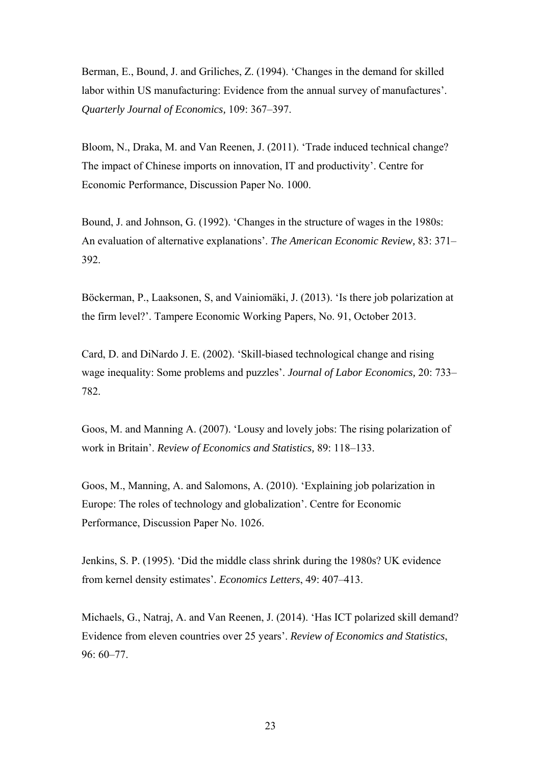Berman, E., Bound, J. and Griliches, Z. (1994). 'Changes in the demand for skilled labor within US manufacturing: Evidence from the annual survey of manufactures'. *Quarterly Journal of Economics,* 109: 367–397.

Bloom, N., Draka, M. and Van Reenen, J. (2011). 'Trade induced technical change? The impact of Chinese imports on innovation, IT and productivity'. Centre for Economic Performance, Discussion Paper No. 1000.

Bound, J. and Johnson, G. (1992). 'Changes in the structure of wages in the 1980s: An evaluation of alternative explanations'. *The American Economic Review,* 83: 371– 392.

Böckerman, P., Laaksonen, S, and Vainiomäki, J. (2013). 'Is there job polarization at the firm level?'. Tampere Economic Working Papers, No. 91, October 2013.

Card, D. and DiNardo J. E. (2002). 'Skill-biased technological change and rising wage inequality: Some problems and puzzles'. *Journal of Labor Economics,* 20: 733– 782.

Goos, M. and Manning A. (2007). 'Lousy and lovely jobs: The rising polarization of work in Britain'. *Review of Economics and Statistics,* 89: 118–133.

Goos, M., Manning, A. and Salomons, A. (2010). 'Explaining job polarization in Europe: The roles of technology and globalization'. Centre for Economic Performance, Discussion Paper No. 1026.

Jenkins, S. P. (1995). 'Did the middle class shrink during the 1980s? UK evidence from kernel density estimates'. *Economics Letters*, 49: 407–413.

Michaels, G., Natraj, A. and Van Reenen, J. (2014). 'Has ICT polarized skill demand? Evidence from eleven countries over 25 years'. *Review of Economics and Statistics*, 96: 60–77.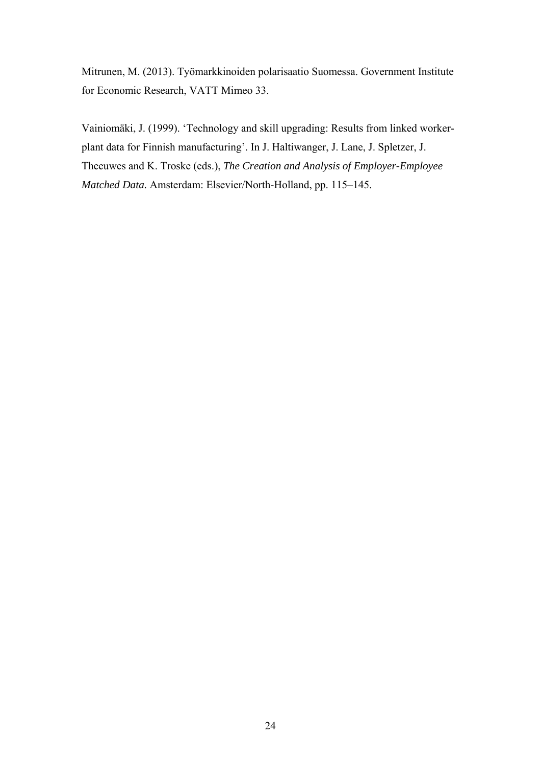Mitrunen, M. (2013). Työmarkkinoiden polarisaatio Suomessa. Government Institute for Economic Research, VATT Mimeo 33.

Vainiomäki, J. (1999). 'Technology and skill upgrading: Results from linked workerplant data for Finnish manufacturing'. In J. Haltiwanger, J. Lane, J. Spletzer, J. Theeuwes and K. Troske (eds.), *The Creation and Analysis of Employer-Employee Matched Data.* Amsterdam: Elsevier/North-Holland, pp. 115–145.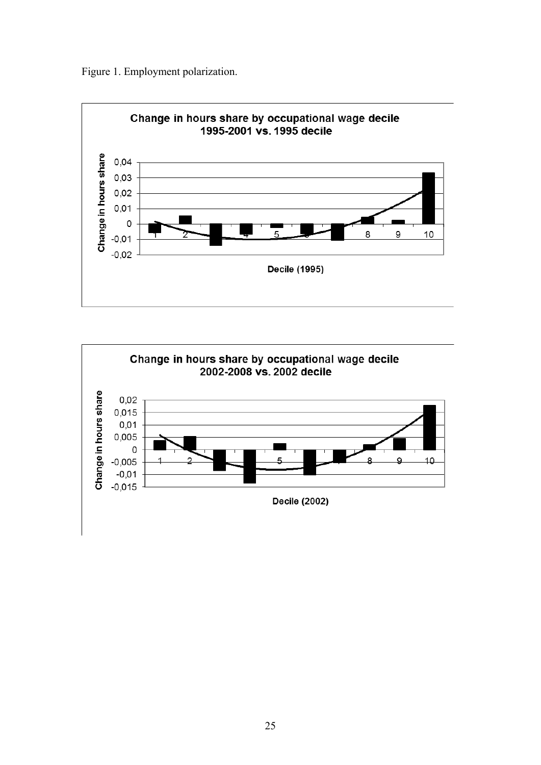Figure 1. Employment polarization.



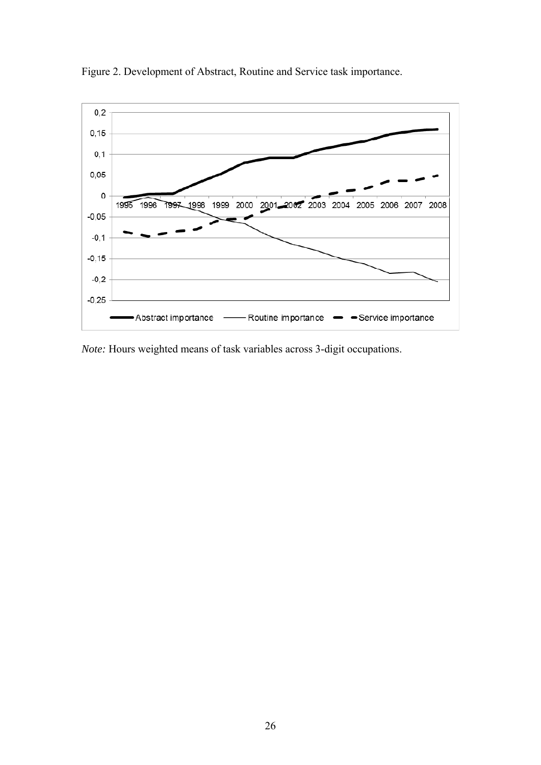

Figure 2. Development of Abstract, Routine and Service task importance.

*Note:* Hours weighted means of task variables across 3-digit occupations.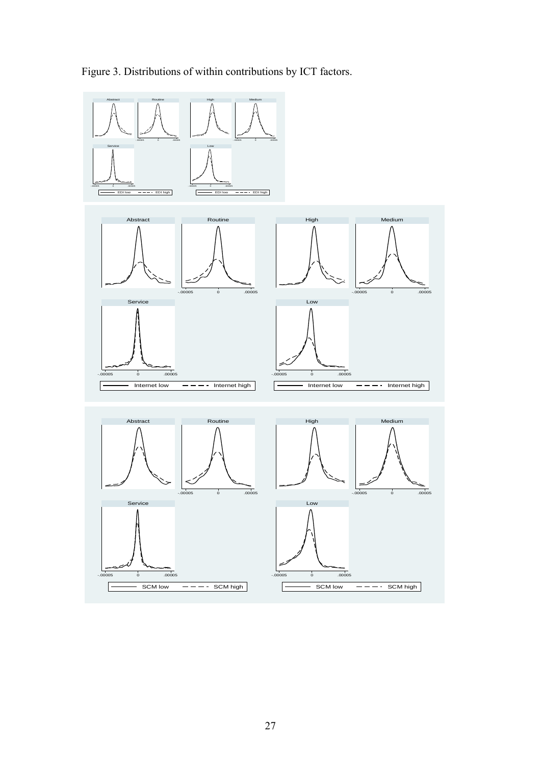

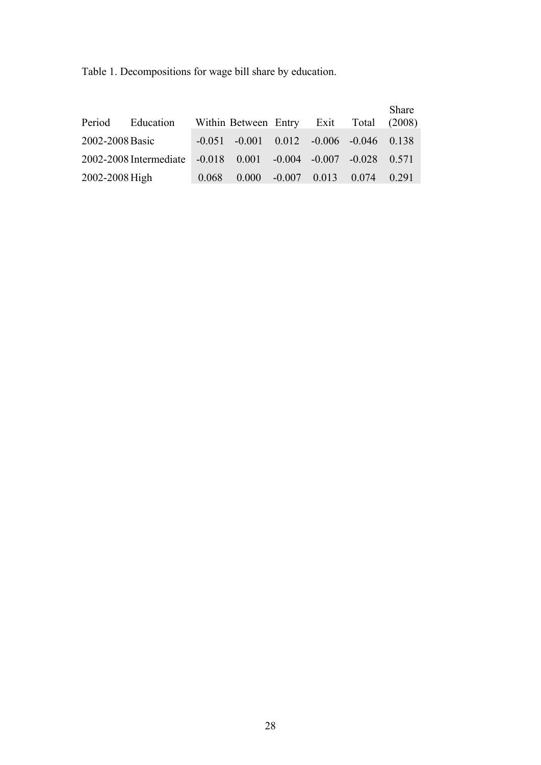Table 1. Decompositions for wage bill share by education.

| Period          | Education              |       | Within Between Entry Exit Total (2008)            |  |                                          | Share |
|-----------------|------------------------|-------|---------------------------------------------------|--|------------------------------------------|-------|
| 2002-2008 Basic |                        |       | $-0.051$ $-0.001$ $0.012$ $-0.006$ $-0.046$ 0.138 |  |                                          |       |
|                 | 2002-2008 Intermediate |       | $-0.018$ 0.001 $-0.004$ $-0.007$ $-0.028$ 0.571   |  |                                          |       |
| 2002-2008 High  |                        | 0.068 |                                                   |  | $0.000$ $-0.007$ $0.013$ $0.074$ $0.291$ |       |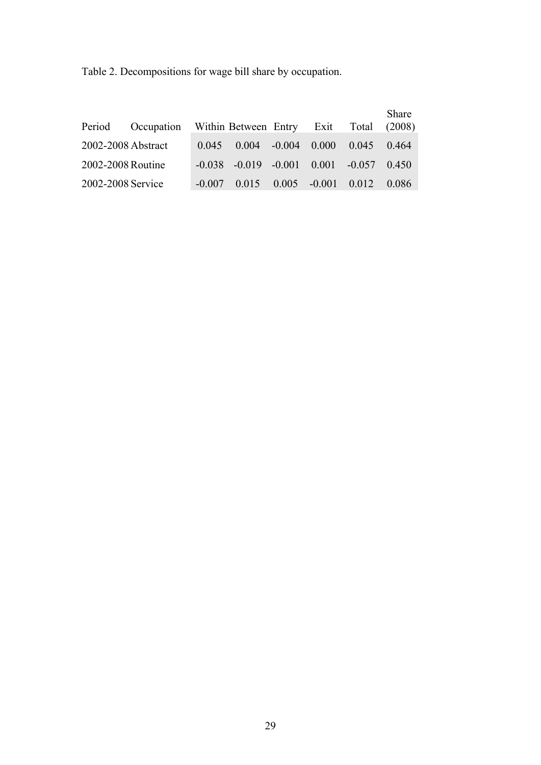Table 2. Decompositions for wage bill share by occupation.

| Period             | Occupation Within Between Entry Exit Total (2008) |                                                     |  |               | Share |
|--------------------|---------------------------------------------------|-----------------------------------------------------|--|---------------|-------|
| 2002-2008 Abstract |                                                   | $0.045$ $0.004$ $-0.004$ $0.000$                    |  | $0.045$ 0.464 |       |
| 2002-2008 Routine  |                                                   | $-0.038$ $-0.019$ $-0.001$ $0.001$ $-0.057$ $0.450$ |  |               |       |
| 2002-2008 Service  |                                                   | $-0.007$ $0.015$ $0.005$ $-0.001$ $0.012$ $0.086$   |  |               |       |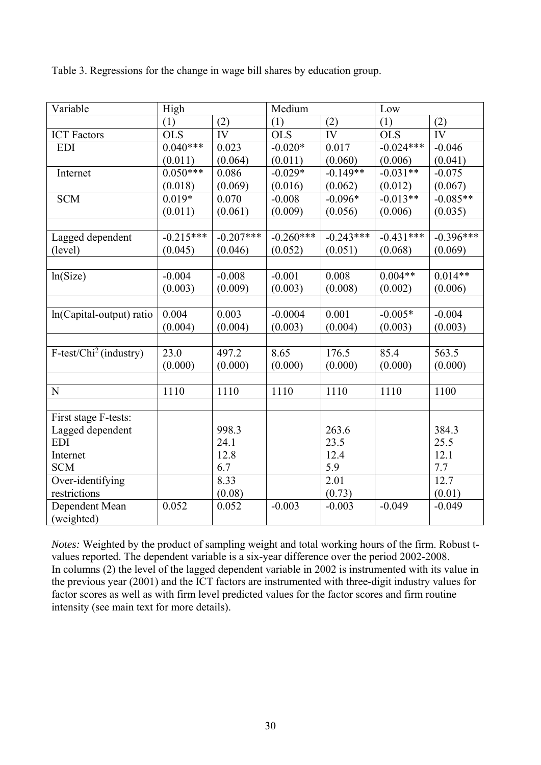| Table 3. Regressions for the change in wage bill shares by education group. |  |  |
|-----------------------------------------------------------------------------|--|--|

| Variable                  | High        |             | Medium      |             | Low         |             |
|---------------------------|-------------|-------------|-------------|-------------|-------------|-------------|
|                           | (1)         | (2)         | (1)         | (2)         | (1)         | (2)         |
| <b>ICT</b> Factors        | <b>OLS</b>  | IV          | <b>OLS</b>  | IV          | <b>OLS</b>  | IV          |
| <b>EDI</b>                | $0.040***$  | 0.023       | $-0.020*$   | 0.017       | $-0.024***$ | $-0.046$    |
|                           | (0.011)     | (0.064)     | (0.011)     | (0.060)     | (0.006)     | (0.041)     |
| Internet                  | $0.050***$  | 0.086       | $-0.029*$   | $-0.149**$  | $-0.031**$  | $-0.075$    |
|                           | (0.018)     | (0.069)     | (0.016)     | (0.062)     | (0.012)     | (0.067)     |
| <b>SCM</b>                | $0.019*$    | 0.070       | $-0.008$    | $-0.096*$   | $-0.013**$  | $-0.085**$  |
|                           | (0.011)     | (0.061)     | (0.009)     | (0.056)     | (0.006)     | (0.035)     |
|                           |             |             |             |             |             |             |
| Lagged dependent          | $-0.215***$ | $-0.207***$ | $-0.260***$ | $-0.243***$ | $-0.431***$ | $-0.396***$ |
| (level)                   | (0.045)     | (0.046)     | (0.052)     | (0.051)     | (0.068)     | (0.069)     |
|                           |             |             |             |             |             |             |
| ln(Size)                  | $-0.004$    | $-0.008$    | $-0.001$    | 0.008       | $0.004**$   | $0.014**$   |
|                           | (0.003)     | (0.009)     | (0.003)     | (0.008)     | (0.002)     | (0.006)     |
|                           |             |             |             |             |             |             |
| ln(Capital-output) ratio  | 0.004       | 0.003       | $-0.0004$   | 0.001       | $-0.005*$   | $-0.004$    |
|                           | (0.004)     | (0.004)     | (0.003)     | (0.004)     | (0.003)     | (0.003)     |
|                           |             |             |             |             |             |             |
| $F-test/Chi^2$ (industry) | 23.0        | 497.2       | 8.65        | 176.5       | 85.4        | 563.5       |
|                           | (0.000)     | (0.000)     | (0.000)     | (0.000)     | (0.000)     | (0.000)     |
|                           |             |             |             |             |             |             |
| ${\bf N}$                 | 1110        | 1110        | 1110        | 1110        | 1110        | 1100        |
|                           |             |             |             |             |             |             |
| First stage F-tests:      |             |             |             |             |             |             |
| Lagged dependent          |             | 998.3       |             | 263.6       |             | 384.3       |
| <b>EDI</b>                |             | 24.1        |             | 23.5        |             | 25.5        |
| Internet                  |             | 12.8        |             | 12.4        |             | 12.1        |
| <b>SCM</b>                |             | 6.7         |             | 5.9         |             | 7.7         |
| Over-identifying          |             | 8.33        |             | 2.01        |             | 12.7        |
| restrictions              |             | (0.08)      |             | (0.73)      |             | (0.01)      |
| Dependent Mean            | 0.052       | 0.052       | $-0.003$    | $-0.003$    | $-0.049$    | $-0.049$    |
| (weighted)                |             |             |             |             |             |             |

*Notes:* Weighted by the product of sampling weight and total working hours of the firm. Robust tvalues reported. The dependent variable is a six-year difference over the period 2002-2008. In columns (2) the level of the lagged dependent variable in 2002 is instrumented with its value in the previous year (2001) and the ICT factors are instrumented with three-digit industry values for factor scores as well as with firm level predicted values for the factor scores and firm routine intensity (see main text for more details).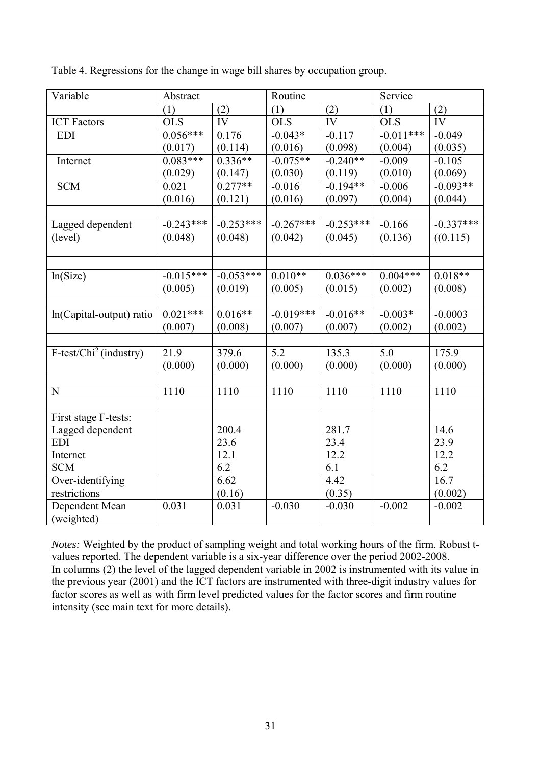| Variable                  | Abstract    |             | Routine     |             | Service     |             |
|---------------------------|-------------|-------------|-------------|-------------|-------------|-------------|
|                           | (1)         | (2)         | (1)         | (2)         | (1)         | (2)         |
| <b>ICT Factors</b>        | <b>OLS</b>  | IV          | <b>OLS</b>  | IV          | <b>OLS</b>  | IV          |
| <b>EDI</b>                | $0.056***$  | 0.176       | $-0.043*$   | $-0.117$    | $-0.011***$ | $-0.049$    |
|                           | (0.017)     | (0.114)     | (0.016)     | (0.098)     | (0.004)     | (0.035)     |
| Internet                  | $0.083***$  | $0.336**$   | $-0.075**$  | $-0.240**$  | $-0.009$    | $-0.105$    |
|                           | (0.029)     | (0.147)     | (0.030)     | (0.119)     | (0.010)     | (0.069)     |
| <b>SCM</b>                | 0.021       | $0.277**$   | $-0.016$    | $-0.194**$  | $-0.006$    | $-0.093**$  |
|                           | (0.016)     | (0.121)     | (0.016)     | (0.097)     | (0.004)     | (0.044)     |
|                           |             |             |             |             |             |             |
| Lagged dependent          | $-0.243***$ | $-0.253***$ | $-0.267***$ | $-0.253***$ | $-0.166$    | $-0.337***$ |
| (level)                   | (0.048)     | (0.048)     | (0.042)     | (0.045)     | (0.136)     | ((0.115)    |
|                           |             |             |             |             |             |             |
|                           |             |             |             |             |             |             |
| ln(Size)                  | $-0.015***$ | $-0.053***$ | $0.010**$   | $0.036***$  | $0.004***$  | $0.018**$   |
|                           | (0.005)     | (0.019)     | (0.005)     | (0.015)     | (0.002)     | (0.008)     |
|                           |             |             |             |             |             |             |
| ln(Capital-output) ratio  | $0.021***$  | $0.016**$   | $-0.019***$ | $-0.016**$  | $-0.003*$   | $-0.0003$   |
|                           | (0.007)     | (0.008)     | (0.007)     | (0.007)     | (0.002)     | (0.002)     |
|                           |             |             |             |             |             |             |
| $F-test/Chi^2$ (industry) | 21.9        | 379.6       | 5.2         | 135.3       | 5.0         | 175.9       |
|                           | (0.000)     | (0.000)     | (0.000)     | (0.000)     | (0.000)     | (0.000)     |
|                           |             |             |             |             |             |             |
| $\mathbf N$               | 1110        | 1110        | 1110        | 1110        | 1110        | 1110        |
|                           |             |             |             |             |             |             |
| First stage F-tests:      |             |             |             |             |             |             |
| Lagged dependent          |             | 200.4       |             | 281.7       |             | 14.6        |
| <b>EDI</b>                |             | 23.6        |             | 23.4        |             | 23.9        |
| Internet                  |             | 12.1        |             | 12.2        |             | 12.2        |
| <b>SCM</b>                |             | 6.2         |             | 6.1         |             | 6.2         |
| Over-identifying          |             | 6.62        |             | 4.42        |             | 16.7        |
| restrictions              |             | (0.16)      |             | (0.35)      |             | (0.002)     |
| Dependent Mean            | 0.031       | 0.031       | $-0.030$    | $-0.030$    | $-0.002$    | $-0.002$    |
| (weighted)                |             |             |             |             |             |             |

Table 4. Regressions for the change in wage bill shares by occupation group.

*Notes:* Weighted by the product of sampling weight and total working hours of the firm. Robust tvalues reported. The dependent variable is a six-year difference over the period 2002-2008. In columns (2) the level of the lagged dependent variable in 2002 is instrumented with its value in the previous year (2001) and the ICT factors are instrumented with three-digit industry values for factor scores as well as with firm level predicted values for the factor scores and firm routine intensity (see main text for more details).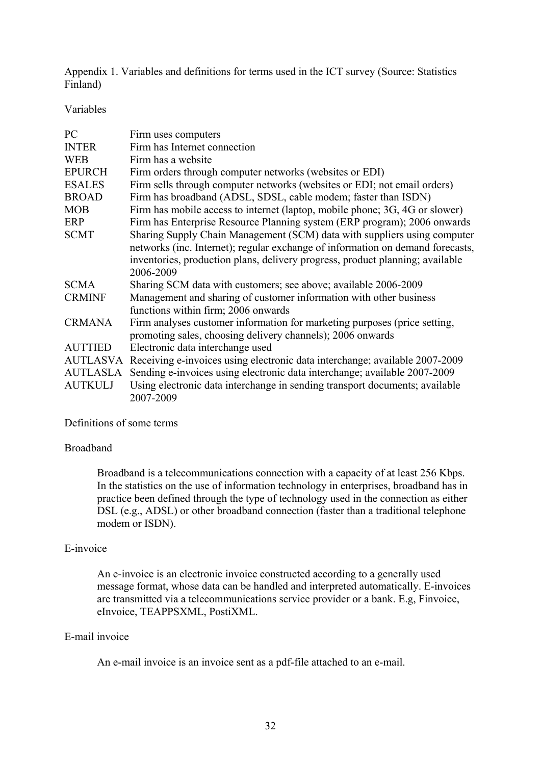Appendix 1. Variables and definitions for terms used in the ICT survey (Source: Statistics Finland)

Variables

| PC.             | Firm uses computers                                                                                                                                                                                                                                      |
|-----------------|----------------------------------------------------------------------------------------------------------------------------------------------------------------------------------------------------------------------------------------------------------|
| <b>INTER</b>    | Firm has Internet connection                                                                                                                                                                                                                             |
| <b>WEB</b>      | Firm has a website                                                                                                                                                                                                                                       |
| <b>EPURCH</b>   | Firm orders through computer networks (websites or EDI)                                                                                                                                                                                                  |
| <b>ESALES</b>   | Firm sells through computer networks (websites or EDI; not email orders)                                                                                                                                                                                 |
| <b>BROAD</b>    | Firm has broadband (ADSL, SDSL, cable modem; faster than ISDN)                                                                                                                                                                                           |
| <b>MOB</b>      | Firm has mobile access to internet (laptop, mobile phone; 3G, 4G or slower)                                                                                                                                                                              |
| <b>ERP</b>      | Firm has Enterprise Resource Planning system (ERP program); 2006 onwards                                                                                                                                                                                 |
| <b>SCMT</b>     | Sharing Supply Chain Management (SCM) data with suppliers using computer<br>networks (inc. Internet); regular exchange of information on demand forecasts,<br>inventories, production plans, delivery progress, product planning; available<br>2006-2009 |
| <b>SCMA</b>     | Sharing SCM data with customers; see above; available 2006-2009                                                                                                                                                                                          |
| <b>CRMINF</b>   | Management and sharing of customer information with other business<br>functions within firm; 2006 onwards                                                                                                                                                |
| <b>CRMANA</b>   | Firm analyses customer information for marketing purposes (price setting,<br>promoting sales, choosing delivery channels); 2006 onwards                                                                                                                  |
| <b>AUTTIED</b>  | Electronic data interchange used                                                                                                                                                                                                                         |
|                 | AUTLASVA Receiving e-invoices using electronic data interchange; available 2007-2009                                                                                                                                                                     |
| <b>AUTLASLA</b> | Sending e-invoices using electronic data interchange; available 2007-2009                                                                                                                                                                                |
| <b>AUTKULJ</b>  | Using electronic data interchange in sending transport documents; available<br>2007-2009                                                                                                                                                                 |

#### Definitions of some terms

#### Broadband

Broadband is a telecommunications connection with a capacity of at least 256 Kbps. In the statistics on the use of information technology in enterprises, broadband has in practice been defined through the type of technology used in the connection as either DSL (e.g., ADSL) or other broadband connection (faster than a traditional telephone modem or ISDN).

### E-invoice

An e-invoice is an electronic invoice constructed according to a generally used message format, whose data can be handled and interpreted automatically. E-invoices are transmitted via a telecommunications service provider or a bank. E.g, Finvoice, eInvoice, TEAPPSXML, PostiXML.

### E-mail invoice

An e-mail invoice is an invoice sent as a pdf-file attached to an e-mail.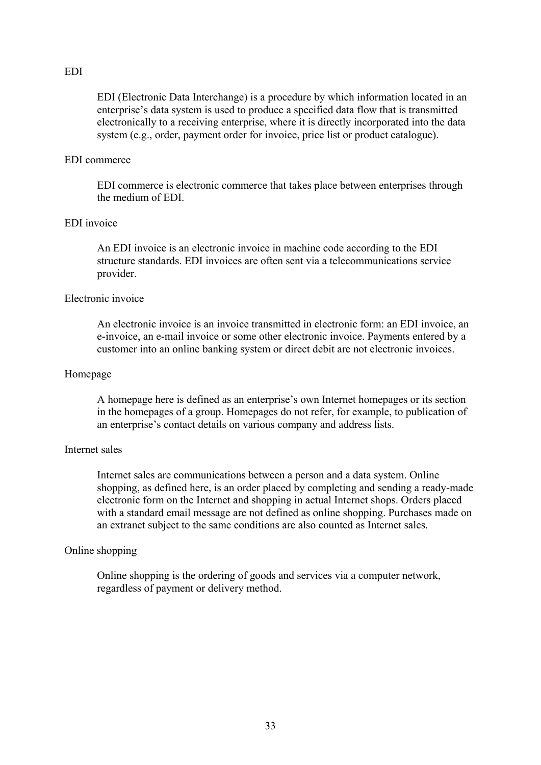#### EDI

EDI (Electronic Data Interchange) is a procedure by which information located in an enterprise's data system is used to produce a specified data flow that is transmitted electronically to a receiving enterprise, where it is directly incorporated into the data system (e.g., order, payment order for invoice, price list or product catalogue).

#### EDI commerce

EDI commerce is electronic commerce that takes place between enterprises through the medium of EDI.

#### EDI invoice

An EDI invoice is an electronic invoice in machine code according to the EDI structure standards. EDI invoices are often sent via a telecommunications service provider.

#### Electronic invoice

An electronic invoice is an invoice transmitted in electronic form: an EDI invoice, an e-invoice, an e-mail invoice or some other electronic invoice. Payments entered by a customer into an online banking system or direct debit are not electronic invoices.

#### Homepage

A homepage here is defined as an enterprise's own Internet homepages or its section in the homepages of a group. Homepages do not refer, for example, to publication of an enterprise's contact details on various company and address lists.

#### Internet sales

Internet sales are communications between a person and a data system. Online shopping, as defined here, is an order placed by completing and sending a ready-made electronic form on the Internet and shopping in actual Internet shops. Orders placed with a standard email message are not defined as online shopping. Purchases made on an extranet subject to the same conditions are also counted as Internet sales.

#### Online shopping

Online shopping is the ordering of goods and services via a computer network, regardless of payment or delivery method.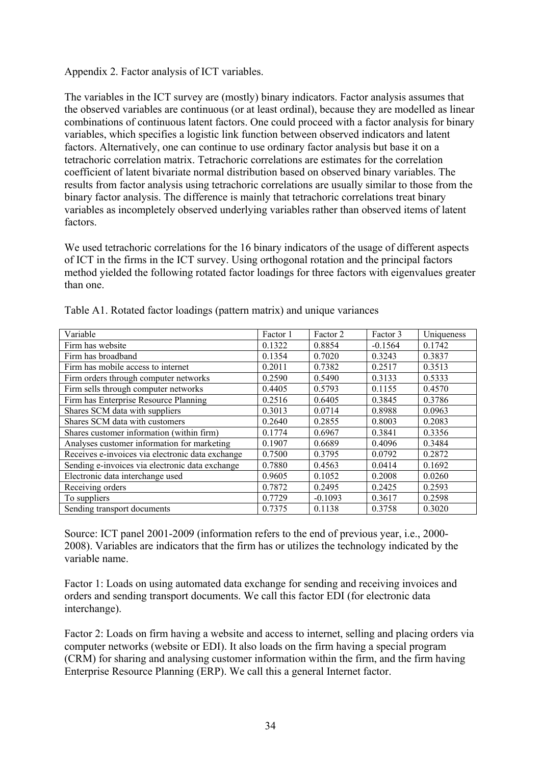Appendix 2. Factor analysis of ICT variables.

The variables in the ICT survey are (mostly) binary indicators. Factor analysis assumes that the observed variables are continuous (or at least ordinal), because they are modelled as linear combinations of continuous latent factors. One could proceed with a factor analysis for binary variables, which specifies a logistic link function between observed indicators and latent factors. Alternatively, one can continue to use ordinary factor analysis but base it on a tetrachoric correlation matrix. Tetrachoric correlations are estimates for the correlation coefficient of latent bivariate normal distribution based on observed binary variables. The results from factor analysis using tetrachoric correlations are usually similar to those from the binary factor analysis. The difference is mainly that tetrachoric correlations treat binary variables as incompletely observed underlying variables rather than observed items of latent factors.

We used tetrachoric correlations for the 16 binary indicators of the usage of different aspects of ICT in the firms in the ICT survey. Using orthogonal rotation and the principal factors method yielded the following rotated factor loadings for three factors with eigenvalues greater than one.

| Variable                                         | Factor 1 | Factor 2  | Factor 3  | Uniqueness |
|--------------------------------------------------|----------|-----------|-----------|------------|
| Firm has website                                 | 0.1322   | 0.8854    | $-0.1564$ | 0.1742     |
| Firm has broadband                               | 0.1354   | 0.7020    | 0.3243    | 0.3837     |
| Firm has mobile access to internet               | 0.2011   | 0.7382    | 0.2517    | 0.3513     |
| Firm orders through computer networks            | 0.2590   | 0.5490    | 0.3133    | 0.5333     |
| Firm sells through computer networks             | 0.4405   | 0.5793    | 0.1155    | 0.4570     |
| Firm has Enterprise Resource Planning            | 0.2516   | 0.6405    | 0.3845    | 0.3786     |
| Shares SCM data with suppliers                   | 0.3013   | 0.0714    | 0.8988    | 0.0963     |
| Shares SCM data with customers                   | 0.2640   | 0.2855    | 0.8003    | 0.2083     |
| Shares customer information (within firm)        | 0.1774   | 0.6967    | 0.3841    | 0.3356     |
| Analyses customer information for marketing      | 0.1907   | 0.6689    | 0.4096    | 0.3484     |
| Receives e-invoices via electronic data exchange | 0.7500   | 0.3795    | 0.0792    | 0.2872     |
| Sending e-invoices via electronic data exchange  | 0.7880   | 0.4563    | 0.0414    | 0.1692     |
| Electronic data interchange used                 | 0.9605   | 0.1052    | 0.2008    | 0.0260     |
| Receiving orders                                 | 0.7872   | 0.2495    | 0.2425    | 0.2593     |
| To suppliers                                     | 0.7729   | $-0.1093$ | 0.3617    | 0.2598     |
| Sending transport documents                      | 0.7375   | 0.1138    | 0.3758    | 0.3020     |

Table A1. Rotated factor loadings (pattern matrix) and unique variances

Source: ICT panel 2001-2009 (information refers to the end of previous year, i.e., 2000- 2008). Variables are indicators that the firm has or utilizes the technology indicated by the variable name.

Factor 1: Loads on using automated data exchange for sending and receiving invoices and orders and sending transport documents. We call this factor EDI (for electronic data interchange).

Factor 2: Loads on firm having a website and access to internet, selling and placing orders via computer networks (website or EDI). It also loads on the firm having a special program (CRM) for sharing and analysing customer information within the firm, and the firm having Enterprise Resource Planning (ERP). We call this a general Internet factor.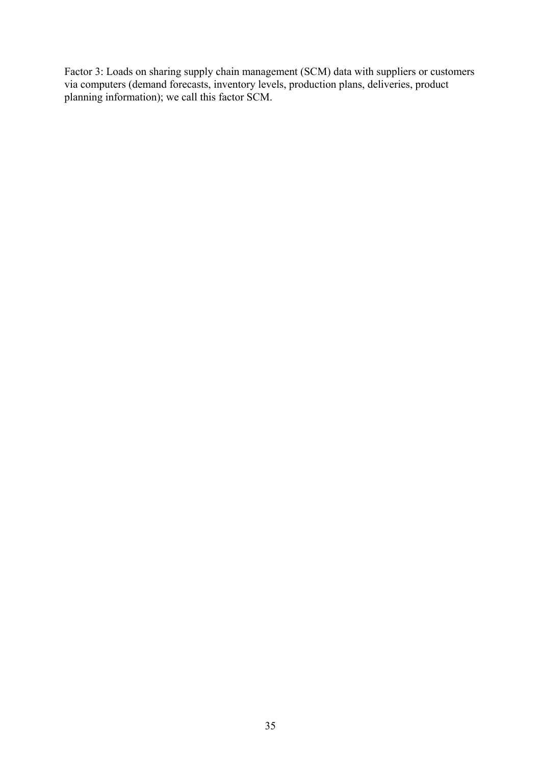Factor 3: Loads on sharing supply chain management (SCM) data with suppliers or customers via computers (demand forecasts, inventory levels, production plans, deliveries, product planning information); we call this factor SCM.